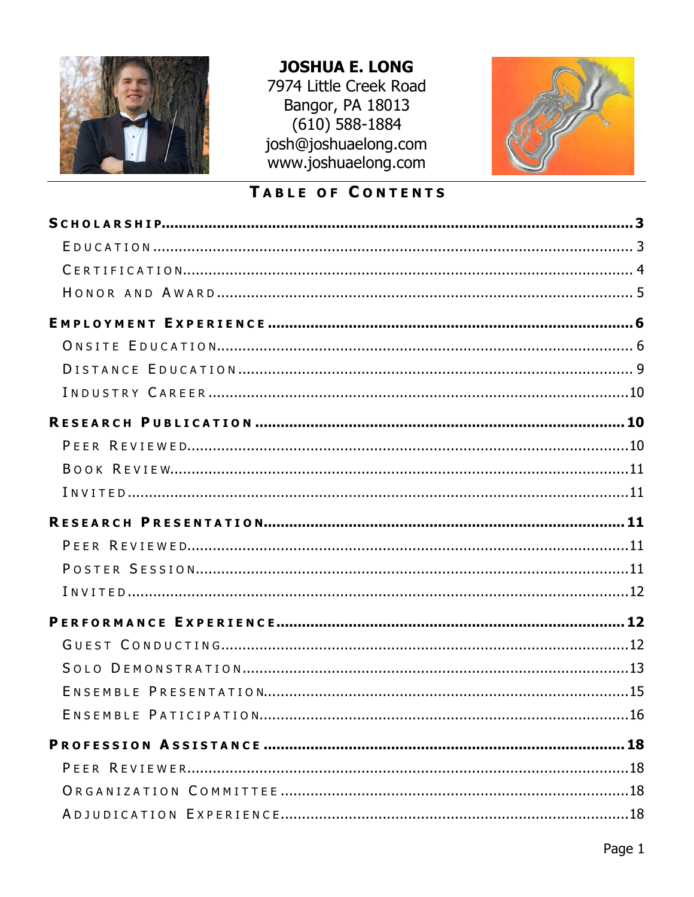

# **JOSHUA E. LONG**

7974 Little Creek Road Bangor, PA 18013  $(610)$  588-1884 josh@joshuaelong.com www.joshuaelong.com



# TABLE OF CONTENTS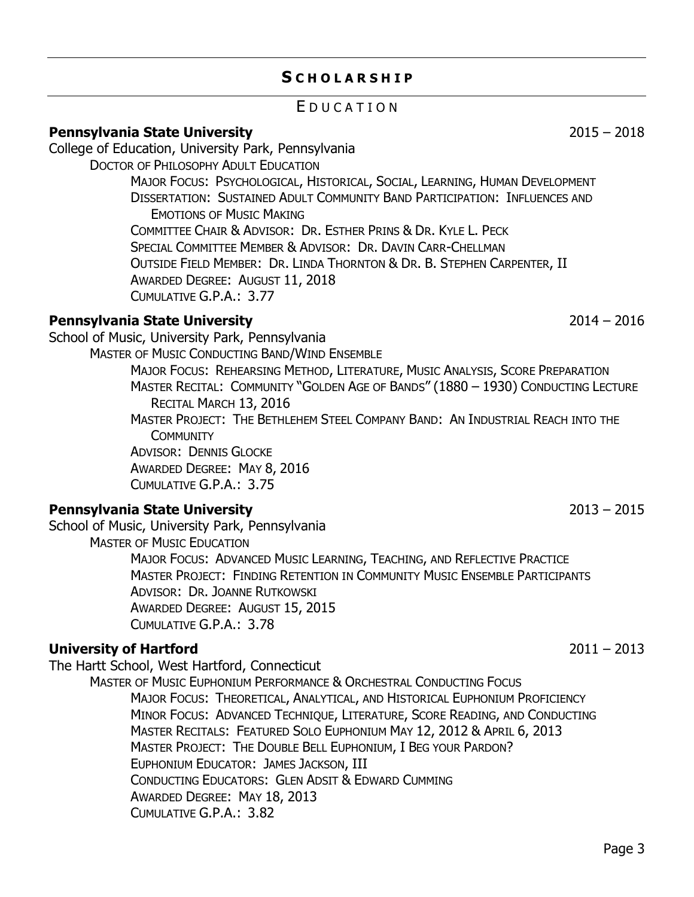# **S C H O L A R S H I P**

# E D U C A T I O N

### <span id="page-2-1"></span><span id="page-2-0"></span>**[Pennsylvania State University](http://www.psu.edu/)** 2015 – 2018

College of Education, University Park, Pennsylvania

DOCTOR OF PHILOSOPHY ADULT EDUCATION

MAJOR FOCUS: PSYCHOLOGICAL, HISTORICAL, SOCIAL, LEARNING, HUMAN DEVELOPMENT DISSERTATION: SUSTAINED ADULT COMMUNITY BAND PARTICIPATION: INFLUENCES AND EMOTIONS OF MUSIC MAKING COMMITTEE CHAIR & ADVISOR: DR. ESTHER PRINS & DR. KYLE L. PECK SPECIAL COMMITTEE MEMBER & ADVISOR: DR. DAVIN CARR-CHELLMAN OUTSIDE FIELD MEMBER: DR. LINDA THORNTON & DR. B. STEPHEN CARPENTER, II AWARDED DEGREE: AUGUST 11, 2018 CUMULATIVE G.P.A.: 3.77

### **[Pennsylvania State University](http://www.psu.edu/)** 2014 – 2016

School of Music, University Park, Pennsylvania

MASTER OF MUSIC CONDUCTING BAND/WIND ENSEMBLE

MAJOR FOCUS: REHEARSING METHOD, LITERATURE, MUSIC ANALYSIS, SCORE PREPARATION MASTER RECITAL: COMMUNITY "GOLDEN AGE OF BANDS" (1880 – 1930) CONDUCTING LECTURE RECITAL MARCH 13, 2016

MASTER PROJECT: THE BETHLEHEM STEEL COMPANY BAND: AN INDUSTRIAL REACH INTO THE **COMMUNITY** 

ADVISOR: DENNIS GLOCKE AWARDED DEGREE: MAY 8, 2016 CUMULATIVE G.P.A.: 3.75

### **[Pennsylvania State University](http://www.psu.edu/)** 2013 – 2015

School of Music, University Park, Pennsylvania MASTER OF MUSIC EDUCATION MAJOR FOCUS: ADVANCED MUSIC LEARNING, TEACHING, AND REFLECTIVE PRACTICE MASTER PROJECT: FINDING R[ETENTION IN](https://scholarsphere.psu.edu/files/x346dm315) COMMUNITY MUSIC ENSEMBLE PARTICIPANTS ADVISOR: DR. JOANNE RUTKOWSKI AWARDED DEGREE: AUGUST 15, 2015 CUMULATIVE G.P.A.: 3.78

# **[University of Hartford](http://www.hartford.edu/)** 2011 – 2013

The Hartt School, West Hartford, Connecticut MASTER OF MUSIC EUPHONIUM PERFORMANCE & ORCHESTRAL CONDUCTING FOCUS

MAJOR FOCUS: THEORETICAL, ANALYTICAL, AND HISTORICAL EUPHONIUM PROFICIENCY MINOR FOCUS: ADVANCED TECHNIQUE, LITERATURE, SCORE READING, AND CONDUCTING MASTER RECITALS: FEATURED SOLO EUPHONIUM MAY 12, 2012 & APRIL 6, 2013 MASTER PROJECT: THE DOUBLE BELL EUPHONIUM, I BEG YOUR PARDON? EUPHONIUM EDUCATOR: JAMES JACKSON, III CONDUCTING EDUCATORS: GLEN ADSIT & EDWARD CUMMING AWARDED DEGREE: MAY 18, 2013 CUMULATIVE G.P.A.: 3.82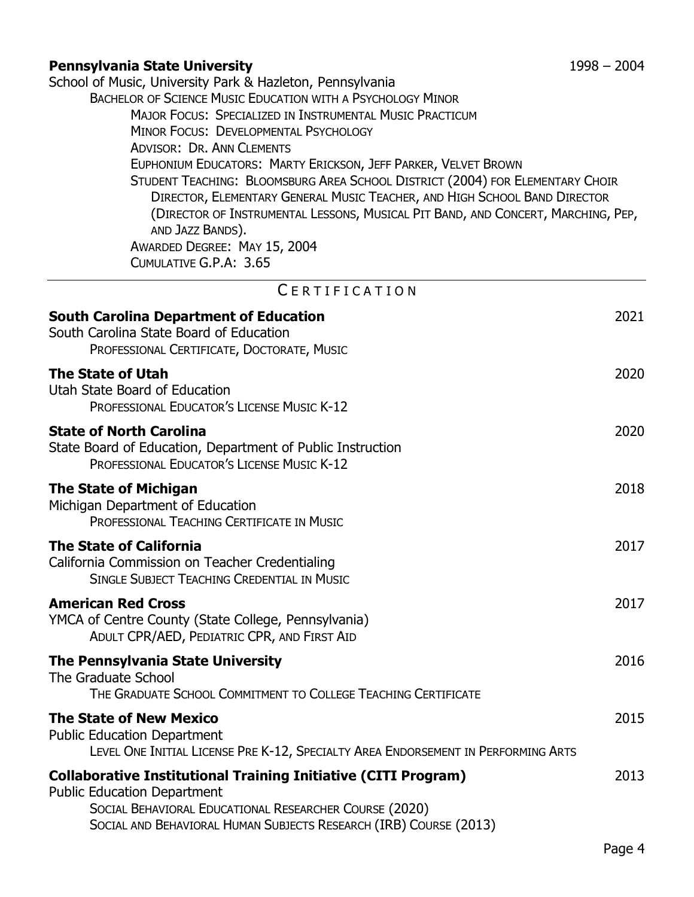# **[Pennsylvania State University](http://www.psu.edu/)** 1998 – 2004

<span id="page-3-0"></span>

| Pennsylvania State University                                                                                                   | 1990 – 200 <del>1</del> |
|---------------------------------------------------------------------------------------------------------------------------------|-------------------------|
| School of Music, University Park & Hazleton, Pennsylvania<br><b>BACHELOR OF SCIENCE MUSIC EDUCATION WITH A PSYCHOLOGY MINOR</b> |                         |
| <b>MAJOR FOCUS: SPECIALIZED IN INSTRUMENTAL MUSIC PRACTICUM</b>                                                                 |                         |
| MINOR FOCUS: DEVELOPMENTAL PSYCHOLOGY                                                                                           |                         |
| <b>ADVISOR: DR. ANN CLEMENTS</b>                                                                                                |                         |
| EUPHONIUM EDUCATORS: MARTY ERICKSON, JEFF PARKER, VELVET BROWN                                                                  |                         |
| STUDENT TEACHING: BLOOMSBURG AREA SCHOOL DISTRICT (2004) FOR ELEMENTARY CHOIR                                                   |                         |
| DIRECTOR, ELEMENTARY GENERAL MUSIC TEACHER, AND HIGH SCHOOL BAND DIRECTOR                                                       |                         |
| (DIRECTOR OF INSTRUMENTAL LESSONS, MUSICAL PIT BAND, AND CONCERT, MARCHING, PEP,                                                |                         |
| AND JAZZ BANDS).                                                                                                                |                         |
| AWARDED DEGREE: MAY 15, 2004                                                                                                    |                         |
| CUMULATIVE G.P.A: 3.65                                                                                                          |                         |
| CERTIFICATION                                                                                                                   |                         |
| <b>South Carolina Department of Education</b>                                                                                   | 2021                    |
| South Carolina State Board of Education                                                                                         |                         |
| PROFESSIONAL CERTIFICATE, DOCTORATE, MUSIC                                                                                      |                         |
|                                                                                                                                 |                         |
| The State of Utah<br>Utah State Board of Education                                                                              | 2020                    |
| PROFESSIONAL EDUCATOR'S LICENSE MUSIC K-12                                                                                      |                         |
|                                                                                                                                 |                         |
| <b>State of North Carolina</b>                                                                                                  | 2020                    |
| State Board of Education, Department of Public Instruction                                                                      |                         |
| <b>PROFESSIONAL EDUCATOR'S LICENSE MUSIC K-12</b>                                                                               |                         |
| The State of Michigan                                                                                                           | 2018                    |
| Michigan Department of Education                                                                                                |                         |
| PROFESSIONAL TEACHING CERTIFICATE IN MUSIC                                                                                      |                         |
| <b>The State of California</b>                                                                                                  | 2017                    |
| California Commission on Teacher Credentialing                                                                                  |                         |
| SINGLE SUBJECT TEACHING CREDENTIAL IN MUSIC                                                                                     |                         |
| <b>American Red Cross</b>                                                                                                       | 2017                    |
| YMCA of Centre County (State College, Pennsylvania)                                                                             |                         |
| ADULT CPR/AED, PEDIATRIC CPR, AND FIRST AID                                                                                     |                         |
| The Pennsylvania State University                                                                                               | 2016                    |
| <b>The Graduate School</b>                                                                                                      |                         |
| THE GRADUATE SCHOOL COMMITMENT TO COLLEGE TEACHING CERTIFICATE                                                                  |                         |
| <b>The State of New Mexico</b>                                                                                                  | 2015                    |
| <b>Public Education Department</b>                                                                                              |                         |
| LEVEL ONE INITIAL LICENSE PRE K-12, SPECIALTY AREA ENDORSEMENT IN PERFORMING ARTS                                               |                         |
|                                                                                                                                 |                         |
| <b>Collaborative Institutional Training Initiative (CITI Program)</b>                                                           | 2013                    |
| <b>Public Education Department</b><br>SOCIAL BEHAVIORAL EDUCATIONAL RESEARCHER COURSE (2020)                                    |                         |
| SOCIAL AND BEHAVIORAL HUMAN SUBJECTS RESEARCH (IRB) COURSE (2013)                                                               |                         |
|                                                                                                                                 |                         |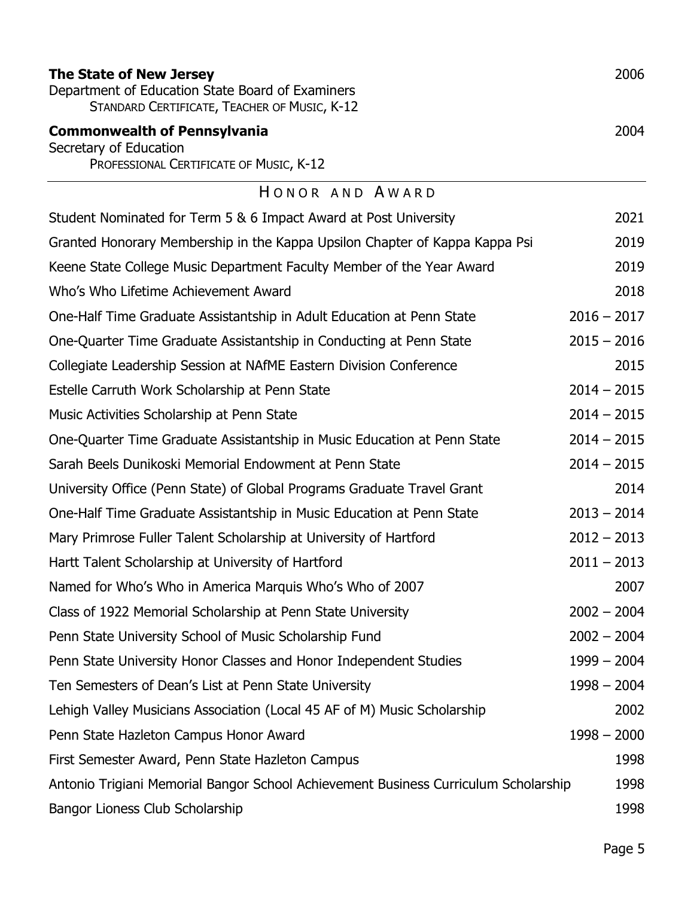<span id="page-4-0"></span>

| The State of New Jersey<br>Department of Education State Board of Examiners<br>STANDARD CERTIFICATE, TEACHER OF MUSIC, K-12 | 2006          |
|-----------------------------------------------------------------------------------------------------------------------------|---------------|
| <b>Commonwealth of Pennsylvania</b>                                                                                         | 2004          |
| Secretary of Education<br>PROFESSIONAL CERTIFICATE OF MUSIC, K-12                                                           |               |
| HONOR AND AWARD                                                                                                             |               |
| Student Nominated for Term 5 & 6 Impact Award at Post University                                                            | 2021          |
| Granted Honorary Membership in the Kappa Upsilon Chapter of Kappa Kappa Psi                                                 | 2019          |
| Keene State College Music Department Faculty Member of the Year Award                                                       | 2019          |
| Who's Who Lifetime Achievement Award                                                                                        | 2018          |
| One-Half Time Graduate Assistantship in Adult Education at Penn State                                                       | $2016 - 2017$ |
| One-Quarter Time Graduate Assistantship in Conducting at Penn State                                                         | $2015 - 2016$ |
| Collegiate Leadership Session at NAfME Eastern Division Conference                                                          | 2015          |
| Estelle Carruth Work Scholarship at Penn State                                                                              | $2014 - 2015$ |
| Music Activities Scholarship at Penn State                                                                                  | $2014 - 2015$ |
| One-Quarter Time Graduate Assistantship in Music Education at Penn State                                                    | $2014 - 2015$ |
| Sarah Beels Dunikoski Memorial Endowment at Penn State                                                                      | $2014 - 2015$ |
| University Office (Penn State) of Global Programs Graduate Travel Grant                                                     | 2014          |
| One-Half Time Graduate Assistantship in Music Education at Penn State                                                       | $2013 - 2014$ |
| Mary Primrose Fuller Talent Scholarship at University of Hartford                                                           | $2012 - 2013$ |
| Hartt Talent Scholarship at University of Hartford                                                                          | $2011 - 2013$ |
| Named for Who's Who in America Marquis Who's Who of 2007                                                                    | 2007          |
| Class of 1922 Memorial Scholarship at Penn State University                                                                 | $2002 - 2004$ |
| Penn State University School of Music Scholarship Fund                                                                      | $2002 - 2004$ |
| Penn State University Honor Classes and Honor Independent Studies                                                           | $1999 - 2004$ |
| Ten Semesters of Dean's List at Penn State University                                                                       | $1998 - 2004$ |
| Lehigh Valley Musicians Association (Local 45 AF of M) Music Scholarship                                                    | 2002          |
| Penn State Hazleton Campus Honor Award                                                                                      | $1998 - 2000$ |
| First Semester Award, Penn State Hazleton Campus                                                                            | 1998          |
| Antonio Trigiani Memorial Bangor School Achievement Business Curriculum Scholarship                                         | 1998          |
| Bangor Lioness Club Scholarship                                                                                             | 1998          |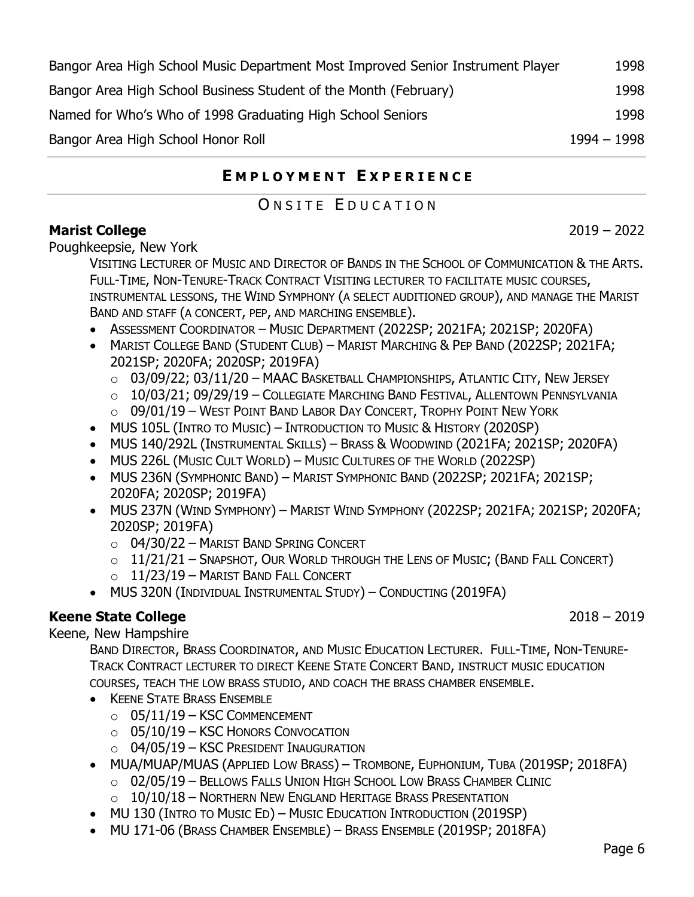| Bangor Area High School Music Department Most Improved Senior Instrument Player | 1998          |
|---------------------------------------------------------------------------------|---------------|
| Bangor Area High School Business Student of the Month (February)                | 1998          |
| Named for Who's Who of 1998 Graduating High School Seniors                      | 1998          |
| Bangor Area High School Honor Roll                                              | $1994 - 1998$ |

# **E M P L O Y M E N T E X P E R I E N C E**

# ONSITE EDUCATION

### <span id="page-5-1"></span><span id="page-5-0"></span>**[Marist College](https://www.marist.edu/communication-arts/music)** 2022

Poughkeepsie, New York

VISITING LECTURER OF MUSIC AND DIRECTOR OF BANDS IN THE SCHOOL OF COMMUNICATION & THE ARTS. FULL-TIME, NON-TENURE-TRACK CONTRACT VISITING LECTURER TO FACILITATE MUSIC COURSES, INSTRUMENTAL LESSONS, THE WIND SYMPHONY (A SELECT AUDITIONED GROUP), AND MANAGE THE MARIST BAND AND STAFF (A CONCERT, PEP, AND MARCHING ENSEMBLE).

- ASSESSMENT COORDINATOR MUSIC DEPARTMENT (2022SP; 2021FA; 2021SP; 2020FA)
- MARIST COLLEGE BAND (STUDENT CLUB) MARIST MARCHING & PEP BAND (2022SP; 2021FA; 2021SP; 2020FA; 2020SP; 2019FA)
	- $\circ$  03/09/22; 03/11/20 MAAC BASKETBALL CHAMPIONSHIPS, ATLANTIC CITY, NEW JERSEY
	- $\circ$  10/03/21; 09/29/19 Collegiate Marching Band Festival, Allentown Pennsylvania
	- $\circ$  09/01/19 West Point Band Labor Day Concert, Trophy Point New York
- MUS 105L (INTRO TO MUSIC) INTRODUCTION TO MUSIC & HISTORY (2020SP)
- MUS 140/292L (INSTRUMENTAL SKILLS) BRASS & WOODWIND (2021FA; 2021SP; 2020FA)
- MUS 226L (MUSIC CULT WORLD) MUSIC CULTURES OF THE WORLD (2022SP)
- MUS 236N (SYMPHONIC BAND) MARIST SYMPHONIC BAND (2022SP; 2021FA; 2021SP; 2020FA; 2020SP; 2019FA)
- MUS 237N (WIND SYMPHONY) MARIST WIND SYMPHONY (2022SP; 2021FA; 2021SP; 2020FA; 2020SP; 2019FA)
	- o 04/30/22 MARIST BAND SPRING CONCERT
	- $\circ$  11/21/21 Snapshot, Our World through the Lens of Music; (Band Fall Concert)
	- $O$  11/23/19 MARIST BAND FALL CONCERT
- MUS 320N (INDIVIDUAL INSTRUMENTAL STUDY) CONDUCTING (2019FA)

# **[Keene State College](https://www.keene.edu/academics/programs/mu/)** 2018 – 2019

Keene, New Hampshire

BAND DIRECTOR, BRASS COORDINATOR, AND MUSIC EDUCATION LECTURER. FULL-TIME, NON-TENURE-TRACK CONTRACT LECTURER TO DIRECT KEENE STATE CONCERT BAND, INSTRUCT MUSIC EDUCATION COURSES, TEACH THE LOW BRASS STUDIO, AND COACH THE BRASS CHAMBER ENSEMBLE.

- KEENE STATE BRASS ENSEMBLE
	- $\circ$  05/11/19 KSC COMMENCEMENT
	- $\circ$  05/10/19 KSC HONORS CONVOCATION
	- o 04/05/19 KSC PRESIDENT INAUGURATION
- MUA/MUAP/MUAS (APPLIED LOW BRASS) TROMBONE, EUPHONIUM, TUBA (2019SP; 2018FA)
	- o 02/05/19 B[ELLOWS](http://bfuhs.org/) FALLS UNION HIGH SCHOOL LOW BRASS CHAMBER CLINIC
	- $\circ$  10/10/18 Northern New England Heritage Brass Presentation
- MU 130 (INTRO TO MUSIC ED) MUSIC EDUCATION INTRODUCTION (2019SP)
- MU 171-06 (BRASS CHAMBER ENSEMBLE) BRASS ENSEMBLE (2019SP; 2018FA)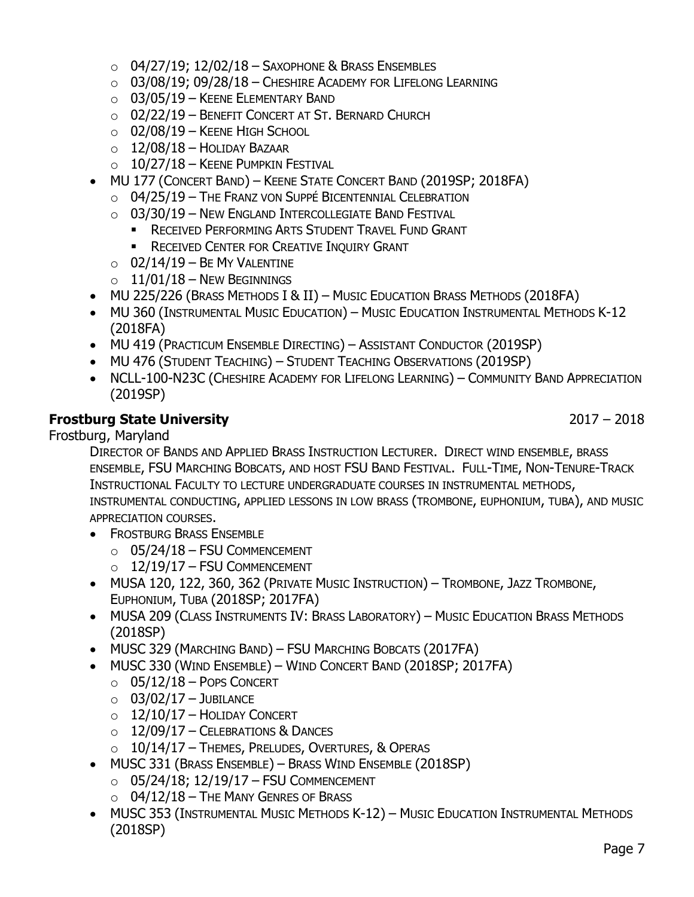- $\circ$  04/27/19; 12/02/18 Saxophone & Brass Ensembles
- $\circ$  03/08/19; 09/28/18 Cheshire Academy for Lifelong Learning
- $\circ$  03/05/19 KEENE ELEMENTARY BAND
- o 02/22/19 BENEFIT CONCERT AT ST. BERNARD CHURCH
- $\circ$  02/08/19 Keene High School
- $\circ$  12/08/18 HOLIDAY BAZAAR
- $\circ$  10/27/18 KEENE PUMPKIN FESTIVAL
- MU 177 (CONCERT BAND) KEENE STATE CONCERT BAND (2019SP; 2018FA)
	- o 04/25/19 THE FRANZ VON SUPPÉ BICENTENNIAL CELEBRATION
	- o 03/30/19 NEW ENGLAND INTERCOLLEGIATE BAND FESTIVAL
		- **E** RECEIVED PERFORMING ARTS STUDENT TRAVEL FUND GRANT
		- **E** RECEIVED CENTER FOR CREATIVE INQUIRY GRANT
	- $\circ$  02/14/19 BE MY VALENTINE
	- $\circ$  11/01/18 New Beginnings
- MU 225/226 (BRASS METHODS I & II) MUSIC EDUCATION BRASS METHODS (2018FA)
- MU 360 (INSTRUMENTAL MUSIC EDUCATION) MUSIC EDUCATION INSTRUMENTAL METHODS K-12 (2018FA)
- MU 419 (PRACTICUM ENSEMBLE DIRECTING) ASSISTANT CONDUCTOR (2019SP)
- MU 476 (STUDENT TEACHING) STUDENT TEACHING OBSERVATIONS (2019SP)
- NCLL-100-N23C (CHESHIRE ACADEMY FOR LIFELONG LEARNING) COMMUNITY BAND APPRECIATION (2019SP)

### **[Frostburg State University](https://www.frostburg.edu/dept/music/)** 2017 – 2018

Frostburg, Maryland

DIRECTOR OF BANDS AND APPLIED BRASS INSTRUCTION LECTURER. DIRECT WIND ENSEMBLE, BRASS ENSEMBLE, FSU MARCHING BOBCATS, AND HOST FSU BAND FESTIVAL. FULL-TIME, NON-TENURE-TRACK INSTRUCTIONAL FACULTY TO LECTURE UNDERGRADUATE COURSES IN INSTRUMENTAL METHODS, INSTRUMENTAL CONDUCTING, APPLIED LESSONS IN LOW BRASS (TROMBONE, EUPHONIUM, TUBA), AND MUSIC APPRECIATION COURSES.

- FROSTBURG BRASS ENSEMBLE
	- $\circ$  05/24/18 FSU COMMENCEMENT
	- $O$  12/19/17 FSU COMMENCEMENT
- MUSA 120, 122, 360, 362 (PRIVATE MUSIC INSTRUCTION) TROMBONE, JAZZ TROMBONE, EUPHONIUM, TUBA (2018SP; 2017FA)
- MUSA 209 (CLASS INSTRUMENTS IV: BRASS LABORATORY) MUSIC EDUCATION BRASS METHODS (2018SP)
- MUSC 329 (MARCHING BAND) FSU MARCHING BOBCATS (2017FA)
- MUSC 330 (WIND ENSEMBLE) WIND CONCERT BAND (2018SP; 2017FA)
	- $\circ$  05/12/18 POPS CONCERT
	- $\circ$  03/02/17 JUBILANCE
	- $O$  12/10/17 HOLIDAY CONCERT
	- $\circ$  12/09/17 Celebrations & Dances
	- $\circ$  10/14/17 Themes, Preludes, Overtures, & Operas
- MUSC 331 (BRASS ENSEMBLE) BRASS WIND ENSEMBLE (2018SP)
	- $O$  05/24/18; 12/19/17 FSU COMMENCEMENT
	- $\circ$  04/12/18 The Many Genres of Brass
- MUSC 353 (INSTRUMENTAL MUSIC METHODS K-12) MUSIC EDUCATION INSTRUMENTAL METHODS (2018SP)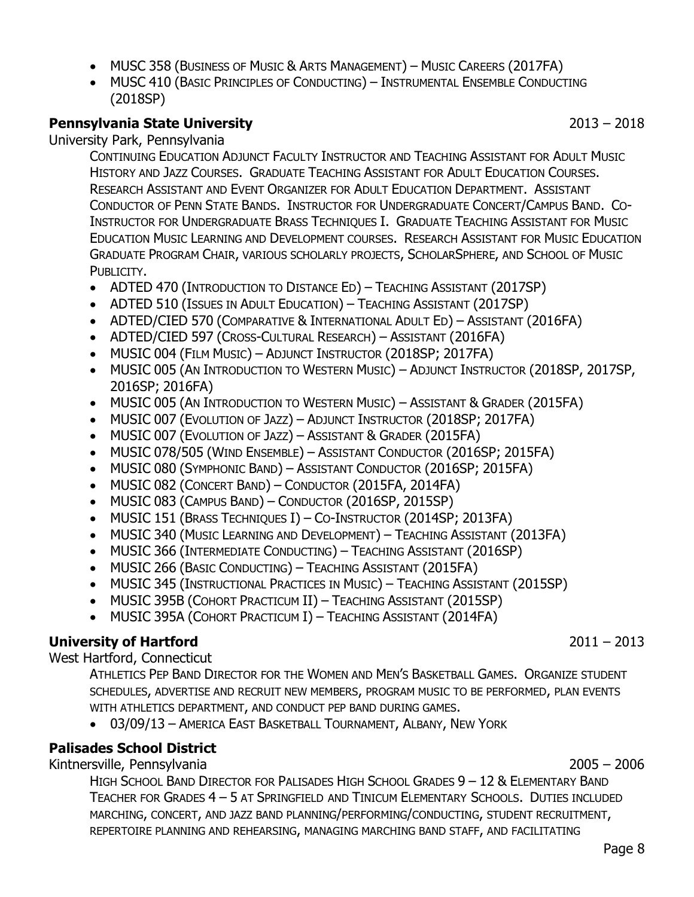- MUSC 358 (BUSINESS OF MUSIC & ARTS MANAGEMENT) MUSIC CAREERS (2017FA)
- MUSC 410 (BASIC PRINCIPLES OF CONDUCTING) INSTRUMENTAL ENSEMBLE CONDUCTING (2018SP)

### **[Pennsylvania State University](http://www.music.psu.edu/)** 2013 – 2018

University Park, Pennsylvania

CONTINUING EDUCATION ADJUNCT FACULTY INSTRUCTOR AND TEACHING ASSISTANT FOR ADULT MUSIC HISTORY AND JAZZ COURSES. GRADUATE TEACHING ASSISTANT FOR ADULT EDUCATION COURSES. RESEARCH ASSISTANT AND EVENT ORGANIZER FOR ADULT EDUCATION DEPARTMENT. ASSISTANT CONDUCTOR OF PENN STATE BANDS. INSTRUCTOR FOR UNDERGRADUATE CONCERT/CAMPUS BAND. CO-INSTRUCTOR FOR UNDERGRADUATE BRASS TECHNIQUES I. GRADUATE TEACHING ASSISTANT FOR MUSIC EDUCATION MUSIC LEARNING AND DEVELOPMENT COURSES. RESEARCH ASSISTANT FOR MUSIC EDUCATION GRADUATE PROGRAM CHAIR, VARIOUS SCHOLARLY PROJECTS, SCHOLARSPHERE, AND SCHOOL OF MUSIC PUBLICITY.

- ADTED 470 (INTRODUCTION TO DISTANCE ED) TEACHING ASSISTANT (2017SP)
- ADTED 510 (ISSUES IN ADULT EDUCATION) TEACHING ASSISTANT (2017SP)
- ADTED/CIED 570 (COMPARATIVE & INTERNATIONAL ADULT ED) ASSISTANT (2016FA)
- ADTED/CIED 597 (CROSS-CULTURAL RESEARCH) ASSISTANT (2016FA)
- MUSIC 004 (FILM MUSIC) ADJUNCT INSTRUCTOR (2018SP; 2017FA)
- MUSIC 005 (AN INTRODUCTION TO WESTERN MUSIC) ADJUNCT INSTRUCTOR (2018SP, 2017SP, 2016SP; 2016FA)
- MUSIC 005 (AN INTRODUCTION TO WESTERN MUSIC) ASSISTANT & GRADER (2015FA)
- MUSIC 007 (EVOLUTION OF JAZZ) ADJUNCT INSTRUCTOR (2018SP; 2017FA)
- MUSIC 007 (EVOLUTION OF JAZZ) ASSISTANT & GRADER (2015FA)
- MUSIC 078/505 (WIND ENSEMBLE) ASSISTANT CONDUCTOR (2016SP; 2015FA)
- MUSIC 080 (SYMPHONIC BAND) ASSISTANT CONDUCTOR (2016SP; 2015FA)
- MUSIC 082 (CONCERT BAND) CONDUCTOR (2015FA, 2014FA)
- MUSIC 083 (CAMPUS BAND) CONDUCTOR (2016SP, 2015SP)
- MUSIC 151 (BRASS TECHNIQUES I) CO-INSTRUCTOR (2014SP; 2013FA)
- MUSIC 340 (MUSIC LEARNING AND DEVELOPMENT) TEACHING ASSISTANT (2013FA)
- MUSIC 366 (INTERMEDIATE CONDUCTING) TEACHING ASSISTANT (2016SP)
- MUSIC 266 (BASIC CONDUCTING) TEACHING ASSISTANT (2015FA)
- MUSIC 345 (INSTRUCTIONAL PRACTICES IN MUSIC) TEACHING ASSISTANT (2015SP)
- MUSIC 395B (COHORT PRACTICUM II) TEACHING ASSISTANT (2015SP)
- MUSIC 395A (COHORT PRACTICUM I) TEACHING ASSISTANT (2014FA)

### **[University of Hartford](http://www.hartfordhawks.com/sports/2010/1/31/PBAND_0131101228.aspx)** 2011 – 2013

West Hartford, Connecticut

ATHLETICS PEP BAND DIRECTOR FOR THE WOMEN AND MEN'S BASKETBALL GAMES. ORGANIZE STUDENT SCHEDULES, ADVERTISE AND RECRUIT NEW MEMBERS, PROGRAM MUSIC TO BE PERFORMED, PLAN EVENTS WITH ATHLETICS DEPARTMENT, AND CONDUCT PEP BAND DURING GAMES.

• 03/09/13 – AMERICA EAST BASKETBALL TOURNAMENT, ALBANY, NEW YORK

### **[Palisades School District](http://www.palisadessd.org/)**

Kintnersville, Pennsylvania 2005 – 2006



HIGH SCHOOL BAND DIRECTOR FOR P[ALISADES](http://www.palisadessd.org/palisadeshs) HIGH SCHOOL GRADES 9 – 12 & ELEMENTARY BAND TEACHER FOR GRADES 4 – 5 AT S[PRINGFIELD](http://www.palisadessd.org/springfieldes) AND TINICUM E[LEMENTARY](http://www.palisadessd.org/tinicumes) SCHOOLS. DUTIES INCLUDED MARCHING, CONCERT, AND JAZZ BAND PLANNING/PERFORMING/CONDUCTING, STUDENT RECRUITMENT, REPERTOIRE PLANNING AND REHEARSING, MANAGING MARCHING BAND STAFF, AND FACILITATING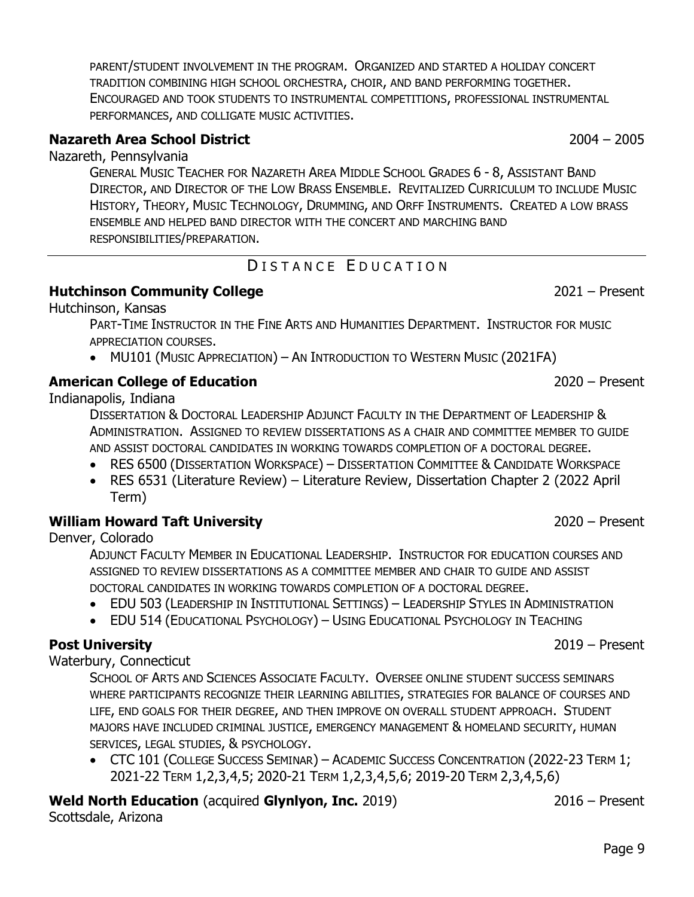PARENT/STUDENT INVOLVEMENT IN THE PROGRAM. ORGANIZED AND STARTED A HOLIDAY CONCERT TRADITION COMBINING HIGH SCHOOL ORCHESTRA, CHOIR, AND BAND PERFORMING TOGETHER. ENCOURAGED AND TOOK STUDENTS TO INSTRUMENTAL COMPETITIONS, PROFESSIONAL INSTRUMENTAL PERFORMANCES, AND COLLIGATE MUSIC ACTIVITIES.

# **[Nazareth Area School District](http://www.nazarethasd.k12.pa.us/)** 2004 – 2005

Nazareth, Pennsylvania

GENERAL MUSIC TEACHER FOR N[AZARETH](http://ms.nazarethasd.k12.pa.us/) AREA MIDDLE SCHOOL GRADES 6 - 8, ASSISTANT BAND DIRECTOR, AND DIRECTOR OF THE LOW BRASS ENSEMBLE. REVITALIZED CURRICULUM TO INCLUDE MUSIC HISTORY, THEORY, MUSIC TECHNOLOGY, DRUMMING, AND ORFF INSTRUMENTS. CREATED A LOW BRASS ENSEMBLE AND HELPED BAND DIRECTOR WITH THE CONCERT AND MARCHING BAND RESPONSIBILITIES/PREPARATION.

# DISTANCE EDUCATION

### <span id="page-8-0"></span>**[Hutchinson Community College](https://www.hutchcc.edu/)** 2021 – Present

Hutchinson, Kansas

PART-TIME INSTRUCTOR IN THE FINE ARTS AND HUMANITIES DEPARTMENT. INSTRUCTOR FOR MUSIC APPRECIATION COURSES.

• MU101 (MUSIC APPRECIATION) – AN INTRODUCTION TO WESTERN MUSIC (2021FA)

# **[American College of Education](https://www.ace.edu/)** 2020 – Present

Indianapolis, Indiana

DISSERTATION & DOCTORAL LEADERSHIP ADJUNCT FACULTY IN THE DEPARTMENT OF LEADERSHIP & ADMINISTRATION. ASSIGNED TO REVIEW DISSERTATIONS AS A CHAIR AND COMMITTEE MEMBER TO GUIDE AND ASSIST DOCTORAL CANDIDATES IN WORKING TOWARDS COMPLETION OF A DOCTORAL DEGREE.

- RES 6500 (DISSERTATION WORKSPACE) DISSERTATION COMMITTEE & CANDIDATE WORKSPACE
- RES 6531 (Literature Review) Literature Review, Dissertation Chapter 2 (2022 April Term)

# **[William Howard Taft University](https://www.taft.edu/)** 2020 – Present

Denver, Colorado

ADJUNCT FACULTY MEMBER IN EDUCATIONAL LEADERSHIP. INSTRUCTOR FOR EDUCATION COURSES AND ASSIGNED TO REVIEW DISSERTATIONS AS A COMMITTEE MEMBER AND CHAIR TO GUIDE AND ASSIST DOCTORAL CANDIDATES IN WORKING TOWARDS COMPLETION OF A DOCTORAL DEGREE.

- EDU 503 (LEADERSHIP IN INSTITUTIONAL SETTINGS) LEADERSHIP STYLES IN ADMINISTRATION
- EDU 514 (EDUCATIONAL PSYCHOLOGY) USING EDUCATIONAL PSYCHOLOGY IN TEACHING

# **[Post University](https://www.post.edu/)** 2019 – Present

Waterbury, Connecticut

SCHOOL OF ARTS AND SCIENCES ASSOCIATE FACULTY. OVERSEE ONLINE STUDENT SUCCESS SEMINARS WHERE PARTICIPANTS RECOGNIZE THEIR LEARNING ABILITIES, STRATEGIES FOR BALANCE OF COURSES AND LIFE, END GOALS FOR THEIR DEGREE, AND THEN IMPROVE ON OVERALL STUDENT APPROACH. STUDENT MAJORS HAVE INCLUDED CRIMINAL JUSTICE, EMERGENCY MANAGEMENT & HOMELAND SECURITY, HUMAN SERVICES, LEGAL STUDIES, & PSYCHOLOGY.

• CTC 101 (COLLEGE SUCCESS SEMINAR) - ACADEMIC SUCCESS CONCENTRATION (2022-23 TERM 1; 2021-22 TERM 1,2,3,4,5; 2020-21 TERM 1,2,3,4,5,6; 2019-20 TERM 2,3,4,5,6)

# **[Weld North Education](https://www.weldnortheducation.com/)** (acquired **[Glynlyon, Inc.](http://www.glynlyon.com/)** 2019) 2016 – Present

Scottsdale, Arizona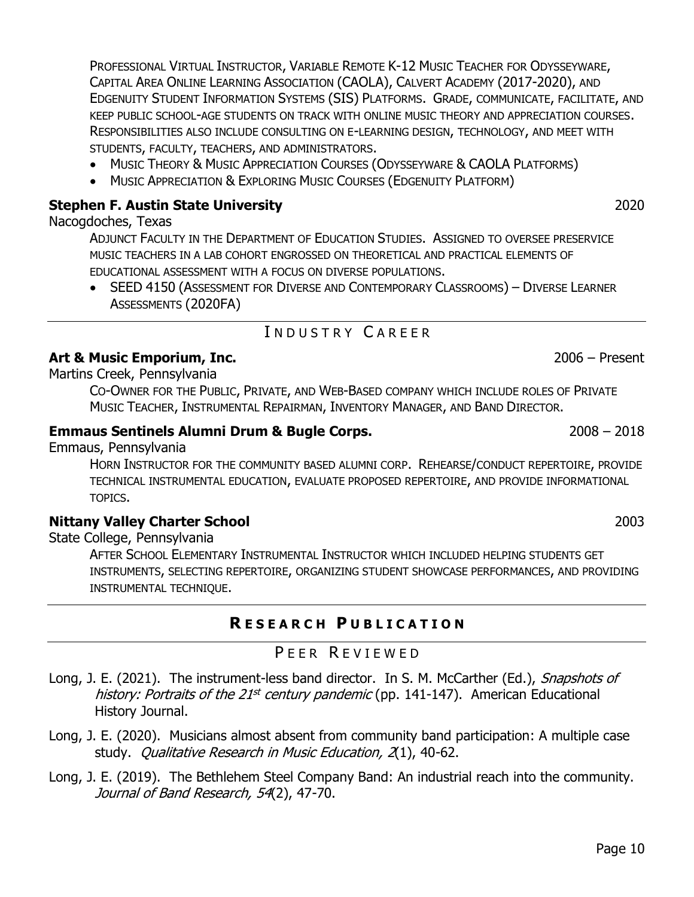PROFESSIONAL VIRTUAL INSTRUCTOR, VARIABLE REMOTE K-12 MUSIC TEACHER FOR ODYSSEYWARE, CAPITAL AREA ONLINE LEARNING ASSOCIATION (CAOLA), CALVERT ACADEMY (2017-2020), AND EDGENUITY STUDENT INFORMATION SYSTEMS (SIS) PLATFORMS. GRADE, COMMUNICATE, FACILITATE, AND KEEP PUBLIC SCHOOL-AGE STUDENTS ON TRACK WITH ONLINE MUSIC THEORY AND APPRECIATION COURSES. RESPONSIBILITIES ALSO INCLUDE CONSULTING ON E-LEARNING DESIGN, TECHNOLOGY, AND MEET WITH STUDENTS, FACULTY, TEACHERS, AND ADMINISTRATORS.

- MUSIC THEORY & MUSIC APPRECIATION COURSES (ODYSSEYWARE & CAOLA PLATFORMS)
- MUSIC APPRECIATION & EXPLORING MUSIC COURSES (EDGENUITY PLATFORM)

# **[Stephen F. Austin State University](http://www.sfasu.edu/)** 2020

# Nacogdoches, Texas

ADJUNCT FACULTY IN THE DEPARTMENT OF EDUCATION STUDIES. ASSIGNED TO OVERSEE PRESERVICE MUSIC TEACHERS IN A LAB COHORT ENGROSSED ON THEORETICAL AND PRACTICAL ELEMENTS OF EDUCATIONAL ASSESSMENT WITH A FOCUS ON DIVERSE POPULATIONS.

• SEED 4150 (ASSESSMENT FOR DIVERSE AND CONTEMPORARY CLASSROOMS) – DIVERSE LEARNER ASSESSMENTS (2020FA)

# I N D U S T R Y C A R E E R

# <span id="page-9-0"></span>**[Art & Music Emporium, Inc.](http://www.artmusicemporium.com/)** 2006 – Present

Martins Creek, Pennsylvania

CO-OWNER FOR THE PUBLIC, PRIVATE, AND WEB-BASED COMPANY WHICH INCLUDE ROLES OF PRIVATE MUSIC TEACHER, INSTRUMENTAL REPAIRMAN, INVENTORY MANAGER, AND BAND DIRECTOR.

# **[Emmaus Sentinels Alumni Drum & Bugle Corps.](http://emmaussentinels.org/)** 2008 – 2018

Emmaus, Pennsylvania

HORN INSTRUCTOR FOR THE COMMUNITY BASED ALUMNI CORP. REHEARSE/CONDUCT REPERTOIRE, PROVIDE TECHNICAL INSTRUMENTAL EDUCATION, EVALUATE PROPOSED REPERTOIRE, AND PROVIDE INFORMATIONAL TOPICS.

### **[Nittany Valley Charter School](http://www.nvcs.org/)** 2003

State College, Pennsylvania

AFTER SCHOOL ELEMENTARY INSTRUMENTAL INSTRUCTOR WHICH INCLUDED HELPING STUDENTS GET INSTRUMENTS, SELECTING REPERTOIRE, ORGANIZING STUDENT SHOWCASE PERFORMANCES, AND PROVIDING INSTRUMENTAL TECHNIQUE.

# **R E S E A R C H P U B L I C A T I O N**

# PEER REVIEWED

- <span id="page-9-2"></span><span id="page-9-1"></span>Long, J. E. (2021). The instrument-less band director. In S. M. McCarther (Ed.), Snapshots of history: Portraits of the 21<sup>st</sup> century pandemic (pp. 141-147). American Educational History Journal.
- [Long, J. E. \(2020\). Musicians almost absent from community band participation:](https://vpa.uncg.edu/wp-content/uploads/2020/06/QRME-Long-Final-2020.pdf) A multiple case study. [Qualitative Research in Music Education, 2](https://vpa.uncg.edu/wp-content/uploads/2020/06/QRME-Long-Final-2020.pdf)(1), 40-62.

[Long, J. E. \(2019\). The Bethlehem Steel Company Band: An industrial reach into the community.](https://search.proquest.com/openview/fff805b9be8ec41025f01a30465f505b/1?pq-origsite=gscholar&cbl=34879)  [Journal of Band Research, 54](https://search.proquest.com/openview/fff805b9be8ec41025f01a30465f505b/1?pq-origsite=gscholar&cbl=34879)(2), 47-70.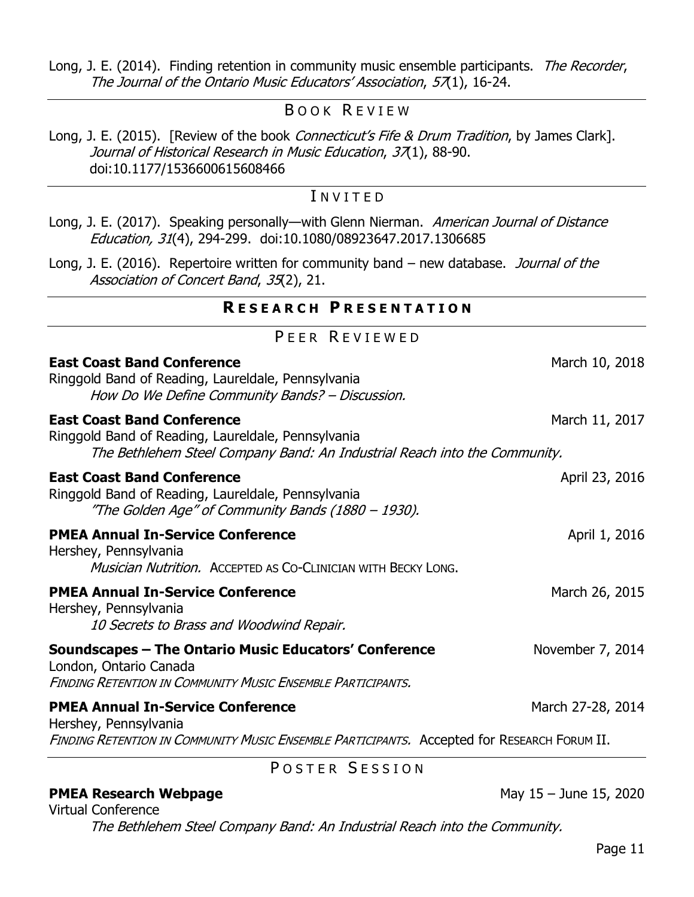[Long, J. E. \(2014\). Finding retention in community music ensemble participants.](https://scholarsphere.psu.edu/files/x346dm315) The Recorder, [The Journal of the Ontario Music Educators' Association](https://scholarsphere.psu.edu/files/x346dm315), 57(1), 16-24.

### BOOK REVIEW

<span id="page-10-0"></span>[Long, J. E. \(2015\). \[Review of the book](https://journals.sagepub.com/doi/abs/10.1177/1536600615608468?journalCode=jhrb) *Connecticut's Fife & Drum Tradition*, by James Clark]. [Journal of Historical Research in Music Education](https://journals.sagepub.com/doi/abs/10.1177/1536600615608468?journalCode=jhrb), 37(1), 88-90. [doi:10.1177/1536600615608466](https://journals.sagepub.com/doi/abs/10.1177/1536600615608468?journalCode=jhrb)

### I N V I T E D

<span id="page-10-1"></span>[Long, J. E. \(2017\). Speaking personally](https://www.tandfonline.com/doi/abs/10.1080/08923647.2017.1306685?journalCode=hajd20)—with Glenn Nierman. American Journal of Distance Education, 31[\(4\), 294-299. doi:10.1080/08923647.2017.1306685](https://www.tandfonline.com/doi/abs/10.1080/08923647.2017.1306685?journalCode=hajd20)

<span id="page-10-2"></span>Long, J. E. (2016). Repertoire written for community band – new database. Journal of the Association of Concert Band, 35(2), 21.

### **R E S E A R C H P R E S E N T A T I O N**

|  | PEER REVIEWED |  |
|--|---------------|--|
|--|---------------|--|

<span id="page-10-3"></span>

| <b>East Coast Band Conference</b><br>Ringgold Band of Reading, Laureldale, Pennsylvania<br>How Do We Define Community Bands? - Discussion.                           | March 10, 2018    |  |
|----------------------------------------------------------------------------------------------------------------------------------------------------------------------|-------------------|--|
| <b>East Coast Band Conference</b><br>Ringgold Band of Reading, Laureldale, Pennsylvania<br>The Bethlehem Steel Company Band: An Industrial Reach into the Community. | March 11, 2017    |  |
| <b>East Coast Band Conference</b><br>Ringgold Band of Reading, Laureldale, Pennsylvania<br>"The Golden Age" of Community Bands (1880 – 1930).                        | April 23, 2016    |  |
| <b>PMEA Annual In-Service Conference</b><br>Hershey, Pennsylvania<br>Musician Nutrition. ACCEPTED AS CO-CLINICIAN WITH BECKY LONG.                                   | April 1, 2016     |  |
| <b>PMEA Annual In-Service Conference</b><br>Hershey, Pennsylvania<br>10 Secrets to Brass and Woodwind Repair.                                                        | March 26, 2015    |  |
| Soundscapes – The Ontario Music Educators' Conference<br>London, Ontario Canada<br><b>FINDING RETENTION IN COMMUNITY MUSIC ENSEMBLE PARTICIPANTS.</b>                | November 7, 2014  |  |
| <b>PMEA Annual In-Service Conference</b><br>Hershey, Pennsylvania<br>FINDING RETENTION IN COMMUNITY MUSIC ENSEMBLE PARTICIPANTS. Accepted for RESEARCH FORUM II.     | March 27-28, 2014 |  |
| POSTER SESSION                                                                                                                                                       |                   |  |

# <span id="page-10-4"></span>**PMEA [Research Webpage](http://www.pmea.net/)** May 15 – June 15, 2020

Virtual Conference The Bethlehem Steel Company Band: An Industrial Reach into the Community.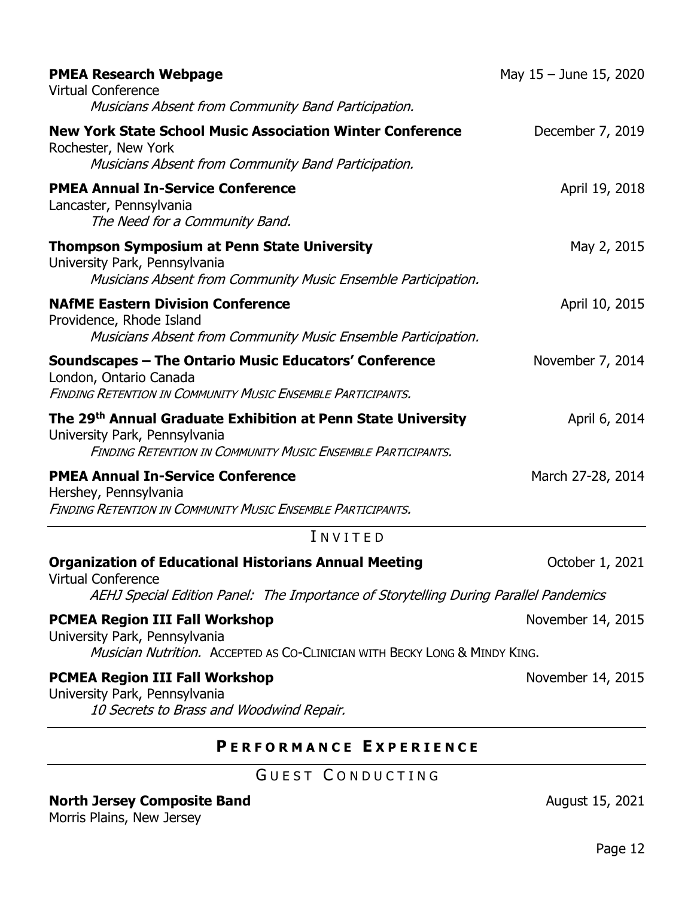| <b>PMEA Research Webpage</b><br><b>Virtual Conference</b><br>Musicians Absent from Community Band Participation.                                                                  | May $15 -$ June 15, 2020 |
|-----------------------------------------------------------------------------------------------------------------------------------------------------------------------------------|--------------------------|
| <b>New York State School Music Association Winter Conference</b><br>Rochester, New York<br>Musicians Absent from Community Band Participation.                                    | December 7, 2019         |
| <b>PMEA Annual In-Service Conference</b><br>Lancaster, Pennsylvania<br>The Need for a Community Band.                                                                             | April 19, 2018           |
| <b>Thompson Symposium at Penn State University</b><br>University Park, Pennsylvania<br>Musicians Absent from Community Music Ensemble Participation.                              | May 2, 2015              |
| <b>NAfME Eastern Division Conference</b><br>Providence, Rhode Island<br>Musicians Absent from Community Music Ensemble Participation.                                             | April 10, 2015           |
| Soundscapes - The Ontario Music Educators' Conference<br>London, Ontario Canada<br><b>FINDING RETENTION IN COMMUNITY MUSIC ENSEMBLE PARTICIPANTS.</b>                             | November 7, 2014         |
| The 29 <sup>th</sup> Annual Graduate Exhibition at Penn State University<br>University Park, Pennsylvania<br><b>FINDING RETENTION IN COMMUNITY MUSIC ENSEMBLE PARTICIPANTS.</b>   | April 6, 2014            |
| <b>PMEA Annual In-Service Conference</b><br>Hershey, Pennsylvania<br><b>FINDING RETENTION IN COMMUNITY MUSIC ENSEMBLE PARTICIPANTS.</b>                                           | March 27-28, 2014        |
| INVITED                                                                                                                                                                           |                          |
| <b>Organization of Educational Historians Annual Meeting</b><br><b>Virtual Conference</b><br>AEHJ Special Edition Panel: The Importance of Storytelling During Parallel Pandemics | October 1, 2021          |
| <b>PCMEA Region III Fall Workshop</b><br>University Park, Pennsylvania<br>Musician Nutrition. ACCEPTED AS CO-CLINICIAN WITH BECKY LONG & MINDY KING.                              | November 14, 2015        |
| <b>PCMEA Region III Fall Workshop</b><br>University Park, Pennsylvania<br>10 Secrets to Brass and Woodwind Repair.                                                                | November 14, 2015        |

# **P E R F O R M A N C E E X P E R I E N C E**

# GUEST CONDUCTING

<span id="page-11-2"></span><span id="page-11-1"></span><span id="page-11-0"></span>**North Jersey Composite Band August 15, 2021** 

Morris Plains, New Jersey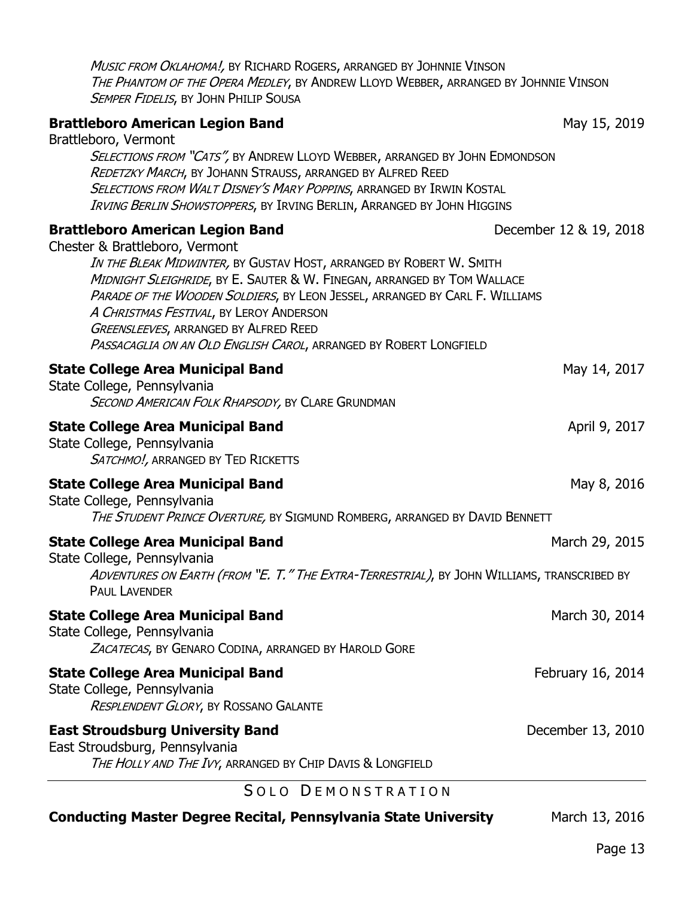| THE PHANTOM OF THE OPERA MEDLEY, BY ANDREW LLOYD WEBBER, ARRANGED BY JOHNNIE VINSON<br><b>SEMPER FIDELIS, BY JOHN PHILIP SOUSA</b>                                                                                                                                                                                                                                                                                                                                         |                        |
|----------------------------------------------------------------------------------------------------------------------------------------------------------------------------------------------------------------------------------------------------------------------------------------------------------------------------------------------------------------------------------------------------------------------------------------------------------------------------|------------------------|
| <b>Brattleboro American Legion Band</b><br>Brattleboro, Vermont<br>SELECTIONS FROM "CATS", BY ANDREW LLOYD WEBBER, ARRANGED BY JOHN EDMONDSON<br>REDETZKY MARCH, BY JOHANN STRAUSS, ARRANGED BY ALFRED REED<br>SELECTIONS FROM WALT DISNEY'S MARY POPPINS, ARRANGED BY IRWIN KOSTAL<br>IRVING BERLIN SHOWSTOPPERS, BY IRVING BERLIN, ARRANGED BY JOHN HIGGINS                                                                                                              | May 15, 2019           |
| <b>Brattleboro American Legion Band</b><br>Chester & Brattleboro, Vermont<br>IN THE BLEAK MIDWINTER, BY GUSTAV HOST, ARRANGED BY ROBERT W. SMITH<br>MIDNIGHT SLEIGHRIDE, BY E. SAUTER & W. FINEGAN, ARRANGED BY TOM WALLACE<br>PARADE OF THE WOODEN SOLDIERS, BY LEON JESSEL, ARRANGED BY CARL F. WILLIAMS<br>A CHRISTMAS FESTIVAL, BY LEROY ANDERSON<br><b>GREENSLEEVES, ARRANGED BY ALFRED REED</b><br>PASSACAGLIA ON AN OLD ENGLISH CAROL, ARRANGED BY ROBERT LONGFIELD | December 12 & 19, 2018 |
| <b>State College Area Municipal Band</b><br>State College, Pennsylvania<br>SECOND AMERICAN FOLK RHAPSODY, BY CLARE GRUNDMAN                                                                                                                                                                                                                                                                                                                                                | May 14, 2017           |
| <b>State College Area Municipal Band</b><br>State College, Pennsylvania<br>SATCHMO!, ARRANGED BY TED RICKETTS                                                                                                                                                                                                                                                                                                                                                              | April 9, 2017          |
| <b>State College Area Municipal Band</b><br>State College, Pennsylvania<br>THE STUDENT PRINCE OVERTURE, BY SIGMUND ROMBERG, ARRANGED BY DAVID BENNETT                                                                                                                                                                                                                                                                                                                      | May 8, 2016            |
| <b>State College Area Municipal Band</b><br>State College, Pennsylvania<br>ADVENTURES ON EARTH (FROM "E. T." THE EXTRA-TERRESTRIAL), BY JOHN WILLIAMS, TRANSCRIBED BY<br><b>PAUL LAVENDER</b>                                                                                                                                                                                                                                                                              | March 29, 2015         |
| <b>State College Area Municipal Band</b><br>State College, Pennsylvania<br>ZACATECAS, BY GENARO CODINA, ARRANGED BY HAROLD GORE                                                                                                                                                                                                                                                                                                                                            | March 30, 2014         |
| <b>State College Area Municipal Band</b><br>State College, Pennsylvania<br>RESPLENDENT GLORY, BY ROSSANO GALANTE                                                                                                                                                                                                                                                                                                                                                           | February 16, 2014      |
| <b>East Stroudsburg University Band</b><br>East Stroudsburg, Pennsylvania<br>THE HOLLY AND THE IVY, ARRANGED BY CHIP DAVIS & LONGFIELD                                                                                                                                                                                                                                                                                                                                     | December 13, 2010      |
| SOLO DEMONSTRATION                                                                                                                                                                                                                                                                                                                                                                                                                                                         |                        |

Music From Oklahoma!, by Richard Rogers, arranged by Johnnie Vinson

<span id="page-12-0"></span>**Conducting Master Degree Recital, [Pennsylvania State University](http://www.music.psu.edu/) March 13, 2016**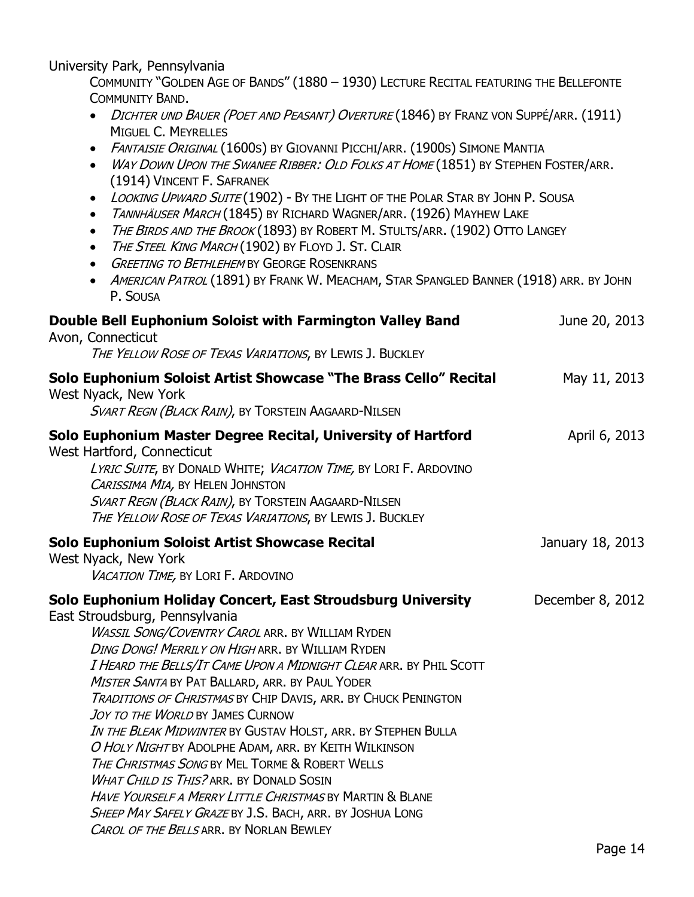University Park, Pennsylvania

COMMUNITY "GOLDEN AGE OF BANDS" (1880 – 1930) LECTURE RECITAL FEATURING THE B[ELLEFONTE](https://bellefonteband.net/)  C[OMMUNITY](https://bellefonteband.net/) BAND.

- DICHTER UND BAUER (POET AND PEASANT) OVERTURE (1846) BY FRANZ VON SUPPÉ/ARR. (1911) MIGUEL C. MEYRELLES
- FANTAISIE ORIGINAL (1600S) BY GIOVANNI PICCHI/ARR. (1900S) SIMONE MANTIA

| WAY DOWN UPON THE SWANEE RIBBER: OLD FOLKS AT HOME (1851) BY STEPHEN FOSTER/ARR. |
|----------------------------------------------------------------------------------|
| (1914) VINCENT F. SAFRANEK                                                       |

- LOOKING UPWARD SUITE (1902) BY THE LIGHT OF THE POLAR STAR BY JOHN P. SOUSA
- TANNHÄUSER MARCH (1845) BY RICHARD WAGNER/ARR. (1926) MAYHEW LAKE
- THE BIRDS AND THE BROOK (1893) BY ROBERT M. STULTS/ARR. (1902) OTTO LANGEY
- THE STEEL KING MARCH (1902) BY FLOYD J. ST. CLAIR
- GREETING TO BETHLEHEM BY GEORGE ROSENKRANS
- AMERICAN PATROL (1891) BY FRANK W. MEACHAM, STAR SPANGLED BANNER (1918) ARR. BY JOHN P. SOUSA

| Double Bell Euphonium Soloist with Farmington Valley Band<br>Avon, Connecticut<br>THE YELLOW ROSE OF TEXAS VARIATIONS, BY LEWIS J. BUCKLEY                                                                                                                                                                                                                                                                                                                                                                                                                                                                                                                                                                                                                                                                                                                | June 20, 2013    |
|-----------------------------------------------------------------------------------------------------------------------------------------------------------------------------------------------------------------------------------------------------------------------------------------------------------------------------------------------------------------------------------------------------------------------------------------------------------------------------------------------------------------------------------------------------------------------------------------------------------------------------------------------------------------------------------------------------------------------------------------------------------------------------------------------------------------------------------------------------------|------------------|
| Solo Euphonium Soloist Artist Showcase "The Brass Cello" Recital<br>West Nyack, New York<br>SVART REGN (BLACK RAIN), BY TORSTEIN AAGAARD-NILSEN                                                                                                                                                                                                                                                                                                                                                                                                                                                                                                                                                                                                                                                                                                           | May 11, 2013     |
| Solo Euphonium Master Degree Recital, University of Hartford<br>West Hartford, Connecticut<br>LYRIC SUITE, BY DONALD WHITE; VACATION TIME, BY LORI F. ARDOVINO<br>CARISSIMA MIA, BY HELEN JOHNSTON<br>SVART REGN (BLACK RAIN), BY TORSTEIN AAGAARD-NILSEN<br>THE YELLOW ROSE OF TEXAS VARIATIONS, BY LEWIS J. BUCKLEY                                                                                                                                                                                                                                                                                                                                                                                                                                                                                                                                     | April 6, 2013    |
| Solo Euphonium Soloist Artist Showcase Recital<br>West Nyack, New York<br>VACATION TIME, BY LORI F. ARDOVINO                                                                                                                                                                                                                                                                                                                                                                                                                                                                                                                                                                                                                                                                                                                                              | January 18, 2013 |
| Solo Euphonium Holiday Concert, East Stroudsburg University<br>East Stroudsburg, Pennsylvania<br><b>WASSIL SONG/COVENTRY CAROL ARR. BY WILLIAM RYDEN</b><br>DING DONG! MERRILY ON HIGH ARR. BY WILLIAM RYDEN<br>I HEARD THE BELLS/IT CAME UPON A MIDNIGHT CLEAR ARR. BY PHIL SCOTT<br>MISTER SANTA BY PAT BALLARD, ARR. BY PAUL YODER<br>TRADITIONS OF CHRISTMAS BY CHIP DAVIS, ARR. BY CHUCK PENINGTON<br>JOY TO THE WORLD BY JAMES CURNOW<br>IN THE BLEAK MIDWINTER BY GUSTAV HOLST, ARR. BY STEPHEN BULLA<br>O HOLY NIGHT BY ADOLPHE ADAM, ARR. BY KEITH WILKINSON<br>THE CHRISTMAS SONG BY MEL TORME & ROBERT WELLS<br><b>WHAT CHILD IS THIS? ARR. BY DONALD SOSIN</b><br><b>HAVE YOURSELF A MERRY LITTLE CHRISTMAS BY MARTIN &amp; BLANE</b><br>SHEEP MAY SAFELY GRAZE BY J.S. BACH, ARR. BY JOSHUA LONG<br>CAROL OF THE BELLS ARR. BY NORLAN BEWLEY | December 8, 2012 |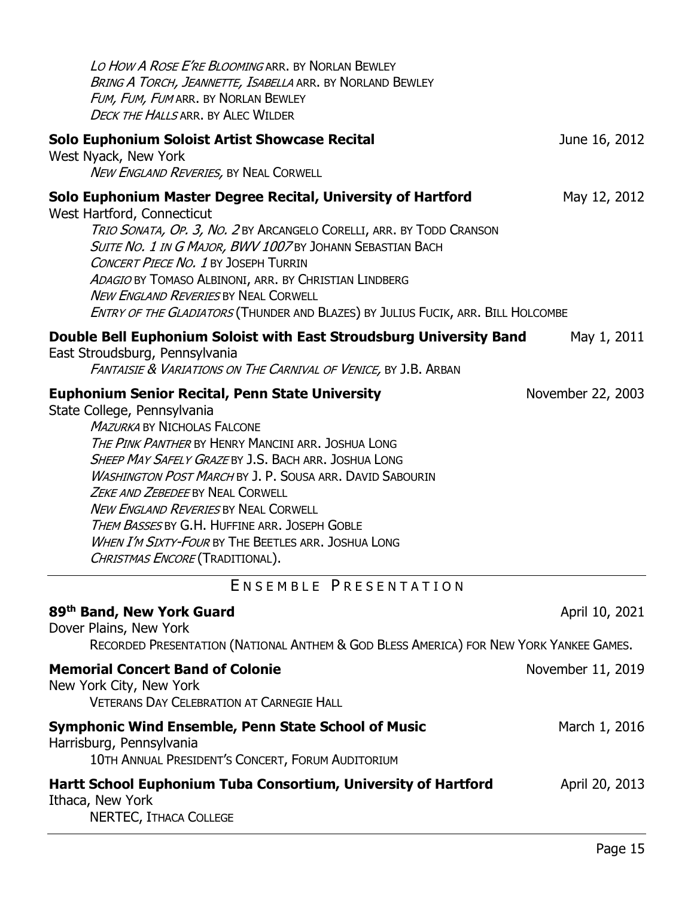<span id="page-14-0"></span>

| LO HOW A ROSE E'RE BLOOMING ARR. BY NORLAN BEWLEY<br><b>BRING A TORCH, JEANNETTE, ISABELLA ARR. BY NORLAND BEWLEY</b><br>FUM, FUM, FUM ARR. BY NORLAN BEWLEY<br><b>DECK THE HALLS ARR. BY ALEC WILDER</b>                                                                                                                                                                                                                                                                                                                                                |                   |
|----------------------------------------------------------------------------------------------------------------------------------------------------------------------------------------------------------------------------------------------------------------------------------------------------------------------------------------------------------------------------------------------------------------------------------------------------------------------------------------------------------------------------------------------------------|-------------------|
| Solo Euphonium Soloist Artist Showcase Recital<br>West Nyack, New York<br>NEW ENGLAND REVERIES, BY NEAL CORWELL                                                                                                                                                                                                                                                                                                                                                                                                                                          | June 16, 2012     |
| Solo Euphonium Master Degree Recital, University of Hartford<br>West Hartford, Connecticut<br>TRIO SONATA, OP. 3, NO. 2 BY ARCANGELO CORELLI, ARR. BY TODD CRANSON<br>SUITE NO. 1 IN G MAJOR, BWV 1007 BY JOHANN SEBASTIAN BACH<br><b>CONCERT PIECE NO. 1 BY JOSEPH TURRIN</b><br>ADAGIO BY TOMASO ALBINONI, ARR. BY CHRISTIAN LINDBERG<br><b>NEW ENGLAND REVERIES BY NEAL CORWELL</b><br>ENTRY OF THE GLADIATORS (THUNDER AND BLAZES) BY JULIUS FUCIK, ARR. BILL HOLCOMBE                                                                               | May 12, 2012      |
| Double Bell Euphonium Soloist with East Stroudsburg University Band<br>East Stroudsburg, Pennsylvania<br>FANTAISIE & VARIATIONS ON THE CARNIVAL OF VENICE, BY J.B. ARBAN                                                                                                                                                                                                                                                                                                                                                                                 | May 1, 2011       |
| <b>Euphonium Senior Recital, Penn State University</b><br>State College, Pennsylvania<br><b>MAZURKA BY NICHOLAS FALCONE</b><br>THE PINK PANTHER BY HENRY MANCINI ARR. JOSHUA LONG<br><b>SHEEP MAY SAFELY GRAZE BY J.S. BACH ARR. JOSHUA LONG</b><br><b>WASHINGTON POST MARCH BY J. P. SOUSA ARR. DAVID SABOURIN</b><br>ZEKE AND ZEBEDEE BY NEAL CORWELL<br><b>NEW ENGLAND REVERIES BY NEAL CORWELL</b><br>THEM BASSES BY G.H. HUFFINE ARR. JOSEPH GOBLE<br>WHEN I'M SIXTY-FOUR BY THE BEETLES ARR. JOSHUA LONG<br><i>Christmas Encore</i> (Traditional). | November 22, 2003 |
| ENSEMBLE PRESENTATION                                                                                                                                                                                                                                                                                                                                                                                                                                                                                                                                    |                   |
| 89th Band, New York Guard<br>Dover Plains, New York<br>RECORDED PRESENTATION (NATIONAL ANTHEM & GOD BLESS AMERICA) FOR NEW YORK YANKEE GAMES.                                                                                                                                                                                                                                                                                                                                                                                                            | April 10, 2021    |
| <b>Memorial Concert Band of Colonie</b><br>New York City, New York<br><b>VETERANS DAY CELEBRATION AT CARNEGIE HALL</b>                                                                                                                                                                                                                                                                                                                                                                                                                                   | November 11, 2019 |
| <b>Symphonic Wind Ensemble, Penn State School of Music</b><br>Harrisburg, Pennsylvania<br>10TH ANNUAL PRESIDENT'S CONCERT, FORUM AUDITORIUM                                                                                                                                                                                                                                                                                                                                                                                                              | March 1, 2016     |
| Hartt School Euphonium Tuba Consortium, University of Hartford<br>Ithaca, New York<br>NERTEC, ITHACA COLLEGE                                                                                                                                                                                                                                                                                                                                                                                                                                             | April 20, 2013    |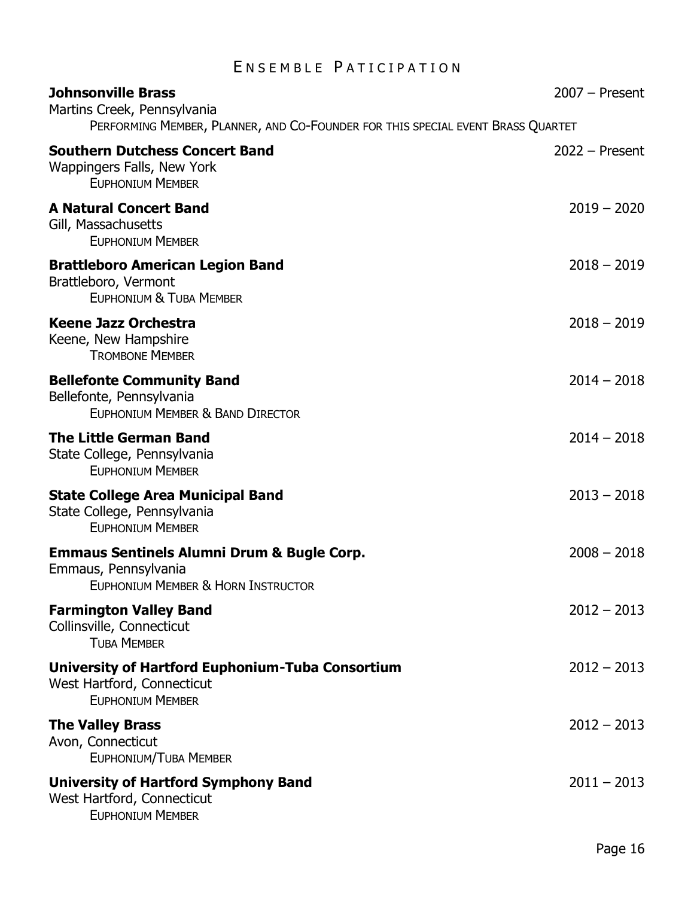# ENSEMBLE PATICIPATION

<span id="page-15-0"></span>

| <b>Johnsonville Brass</b><br>Martins Creek, Pennsylvania<br>PERFORMING MEMBER, PLANNER, AND CO-FOUNDER FOR THIS SPECIAL EVENT BRASS QUARTET | $2007 -$ Present |
|---------------------------------------------------------------------------------------------------------------------------------------------|------------------|
| <b>Southern Dutchess Concert Band</b><br>Wappingers Falls, New York<br><b>EUPHONIUM MEMBER</b>                                              | $2022 -$ Present |
| <b>A Natural Concert Band</b><br>Gill, Massachusetts<br><b>EUPHONIUM MEMBER</b>                                                             | $2019 - 2020$    |
| <b>Brattleboro American Legion Band</b><br>Brattleboro, Vermont<br>EUPHONIUM & TUBA MEMBER                                                  | $2018 - 2019$    |
| <b>Keene Jazz Orchestra</b><br>Keene, New Hampshire<br><b>TROMBONE MEMBER</b>                                                               | $2018 - 2019$    |
| <b>Bellefonte Community Band</b><br>Bellefonte, Pennsylvania<br>EUPHONIUM MEMBER & BAND DIRECTOR                                            | $2014 - 2018$    |
| <b>The Little German Band</b><br>State College, Pennsylvania<br><b>EUPHONIUM MEMBER</b>                                                     | $2014 - 2018$    |
| <b>State College Area Municipal Band</b><br>State College, Pennsylvania<br><b>EUPHONIUM MEMBER</b>                                          | $2013 - 2018$    |
| <b>Emmaus Sentinels Alumni Drum &amp; Bugle Corp.</b><br>Emmaus, Pennsylvania<br>EUPHONIUM MEMBER & HORN INSTRUCTOR                         | $2008 - 2018$    |
| <b>Farmington Valley Band</b><br>Collinsville, Connecticut<br><b>TUBA MEMBER</b>                                                            | $2012 - 2013$    |
| University of Hartford Euphonium-Tuba Consortium<br>West Hartford, Connecticut<br><b>EUPHONIUM MEMBER</b>                                   | $2012 - 2013$    |
| <b>The Valley Brass</b><br>Avon, Connecticut<br><b>EUPHONIUM/TUBA MEMBER</b>                                                                | $2012 - 2013$    |
| <b>University of Hartford Symphony Band</b><br>West Hartford, Connecticut<br><b>EUPHONIUM MEMBER</b>                                        | $2011 - 2013$    |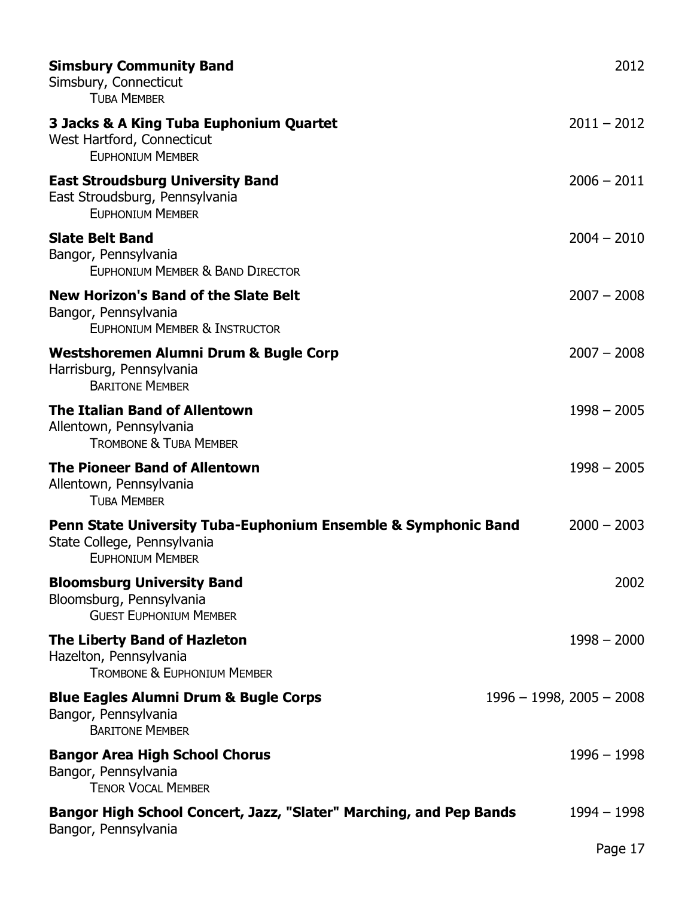| <b>Simsbury Community Band</b><br>Simsbury, Connecticut<br><b>TUBA MEMBER</b>                                            | 2012                        |
|--------------------------------------------------------------------------------------------------------------------------|-----------------------------|
| 3 Jacks & A King Tuba Euphonium Quartet<br>West Hartford, Connecticut<br><b>EUPHONIUM MEMBER</b>                         | $2011 - 2012$               |
| <b>East Stroudsburg University Band</b><br>East Stroudsburg, Pennsylvania<br><b>EUPHONIUM MEMBER</b>                     | $2006 - 2011$               |
| <b>Slate Belt Band</b><br>Bangor, Pennsylvania<br>EUPHONIUM MEMBER & BAND DIRECTOR                                       | $2004 - 2010$               |
| <b>New Horizon's Band of the Slate Belt</b><br>Bangor, Pennsylvania<br>EUPHONIUM MEMBER & INSTRUCTOR                     | $2007 - 2008$               |
| <b>Westshoremen Alumni Drum &amp; Bugle Corp</b><br>Harrisburg, Pennsylvania<br><b>BARITONE MEMBER</b>                   | $2007 - 2008$               |
| <b>The Italian Band of Allentown</b><br>Allentown, Pennsylvania<br><b>TROMBONE &amp; TUBA MEMBER</b>                     | $1998 - 2005$               |
| <b>The Pioneer Band of Allentown</b><br>Allentown, Pennsylvania<br><b>TUBA MEMBER</b>                                    | $1998 - 2005$               |
| Penn State University Tuba-Euphonium Ensemble & Symphonic Band<br>State College, Pennsylvania<br><b>EUPHONIUM MEMBER</b> | $2000 - 2003$               |
| <b>Bloomsburg University Band</b><br>Bloomsburg, Pennsylvania<br><b>GUEST EUPHONIUM MEMBER</b>                           | 2002                        |
| The Liberty Band of Hazleton<br>Hazelton, Pennsylvania<br><b>TROMBONE &amp; EUPHONIUM MEMBER</b>                         | $1998 - 2000$               |
| <b>Blue Eagles Alumni Drum &amp; Bugle Corps</b><br>Bangor, Pennsylvania<br><b>BARITONE MEMBER</b>                       | $1996 - 1998$ , 2005 - 2008 |
| <b>Bangor Area High School Chorus</b><br>Bangor, Pennsylvania<br><b>TENOR VOCAL MEMBER</b>                               | $1996 - 1998$               |
| Bangor High School Concert, Jazz, "Slater" Marching, and Pep Bands<br>Bangor, Pennsylvania                               | $1994 - 1998$               |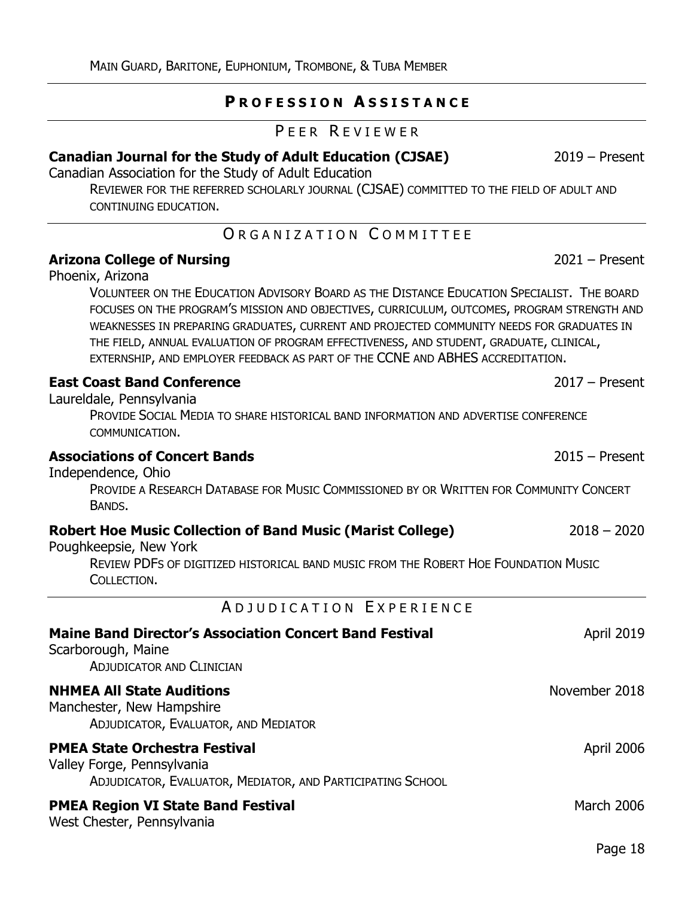### **P R O F E S S I O N A S S I S T A N C E**

#### PEER REVIEWER

### <span id="page-17-1"></span><span id="page-17-0"></span>**[Canadian Journal for the Study of Adult Education](https://cjsae.library.dal.ca/) (CJSAE)** 2019 – Present

Canadian Association for the Study of Adult Education

REVIEWER FOR THE REFERRED SCHOLARLY JOURNAL (CJSAE) COMMITTED TO THE FIELD OF ADULT AND CONTINUING EDUCATION.

### ORGANIZATION COMMITTEE

### <span id="page-17-2"></span>**[Arizona College of Nursing](https://www.arizonacollege.edu/)** 2021 – Present

Phoenix, Arizona

VOLUNTEER ON THE EDUCATION ADVISORY BOARD AS THE DISTANCE EDUCATION SPECIALIST. THE BOARD FOCUSES ON THE PROGRAM'S MISSION AND OBJECTIVES, CURRICULUM, OUTCOMES, PROGRAM STRENGTH AND WEAKNESSES IN PREPARING GRADUATES, CURRENT AND PROJECTED COMMUNITY NEEDS FOR GRADUATES IN THE FIELD, ANNUAL EVALUATION OF PROGRAM EFFECTIVENESS, AND STUDENT, GRADUATE, CLINICAL, EXTERNSHIP, AND EMPLOYER FEEDBACK AS PART OF THE CCNE AND ABHES ACCREDITATION.

### **[East Coast Band Conference](https://www.facebook.com/groups/1367452773290173/)** 2017 – Present

Laureldale, Pennsylvania

PROVIDE SOCIAL MEDIA TO SHARE HISTORICAL BAND INFORMATION AND ADVERTISE CONFERENCE COMMUNICATION.

#### **[Associations of Concert Bands](http://www.acbands.org/music-repertoire-data)** 2015 – Present

Independence, Ohio

PROVIDE A RESEARCH DATABASE FOR MUSIC COMMISSIONED BY OR WRITTEN FOR COMMUNITY CONCERT BANDS.

### **Robert Hoe Music Collection of Band Music [\(Marist College\)](https://www.marist.edu/)** 2018 – 2020

Poughkeepsie, New York

REVIEW PDFS OF DIGITIZED HISTORICAL BAND MUSIC FROM THE ROBERT HOE FOUNDATION MUSIC COLLECTION.

A D J U D I C A T I O N E X P E R I E N C E

<span id="page-17-3"></span>

| <b>Maine Band Director's Association Concert Band Festival</b><br>Scarborough, Maine<br><b>ADJUDICATOR AND CLINICIAN</b>         | <b>April 2019</b> |
|----------------------------------------------------------------------------------------------------------------------------------|-------------------|
| <b>NHMEA All State Auditions</b><br>Manchester, New Hampshire<br>ADJUDICATOR, EVALUATOR, AND MEDIATOR                            | November 2018     |
| <b>PMEA State Orchestra Festival</b><br>Valley Forge, Pennsylvania<br>ADJUDICATOR, EVALUATOR, MEDIATOR, AND PARTICIPATING SCHOOL | April 2006        |
| <b>PMEA Region VI State Band Festival</b><br>West Chester, Pennsylvania                                                          | March 2006        |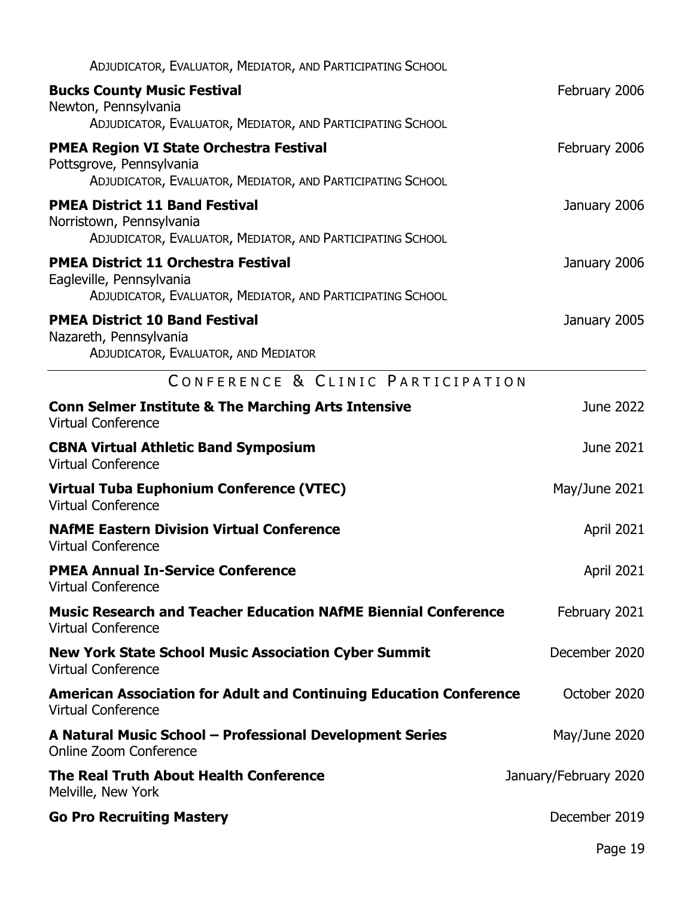<span id="page-18-0"></span>

| ADJUDICATOR, EVALUATOR, MEDIATOR, AND PARTICIPATING SCHOOL                                                                           |                       |
|--------------------------------------------------------------------------------------------------------------------------------------|-----------------------|
| <b>Bucks County Music Festival</b><br>Newton, Pennsylvania                                                                           | February 2006         |
| ADJUDICATOR, EVALUATOR, MEDIATOR, AND PARTICIPATING SCHOOL                                                                           |                       |
| <b>PMEA Region VI State Orchestra Festival</b><br>Pottsgrove, Pennsylvania                                                           | February 2006         |
| ADJUDICATOR, EVALUATOR, MEDIATOR, AND PARTICIPATING SCHOOL                                                                           |                       |
| <b>PMEA District 11 Band Festival</b><br>Norristown, Pennsylvania<br>ADJUDICATOR, EVALUATOR, MEDIATOR, AND PARTICIPATING SCHOOL      | January 2006          |
| <b>PMEA District 11 Orchestra Festival</b><br>Eagleville, Pennsylvania<br>ADJUDICATOR, EVALUATOR, MEDIATOR, AND PARTICIPATING SCHOOL | January 2006          |
| <b>PMEA District 10 Band Festival</b>                                                                                                |                       |
| Nazareth, Pennsylvania<br>ADJUDICATOR, EVALUATOR, AND MEDIATOR                                                                       | January 2005          |
| CONFERENCE & CLINIC PARTICIPATION                                                                                                    |                       |
| <b>Conn Selmer Institute &amp; The Marching Arts Intensive</b><br><b>Virtual Conference</b>                                          | June 2022             |
| <b>CBNA Virtual Athletic Band Symposium</b><br><b>Virtual Conference</b>                                                             | June 2021             |
| Virtual Tuba Euphonium Conference (VTEC)<br><b>Virtual Conference</b>                                                                | May/June 2021         |
| <b>NAfME Eastern Division Virtual Conference</b><br><b>Virtual Conference</b>                                                        | <b>April 2021</b>     |
| <b>PMEA Annual In-Service Conference</b><br><b>Virtual Conference</b>                                                                | April 2021            |
| <b>Music Research and Teacher Education NAfME Biennial Conference</b><br><b>Virtual Conference</b>                                   | February 2021         |
| <b>New York State School Music Association Cyber Summit</b><br><b>Virtual Conference</b>                                             | December 2020         |
| <b>American Association for Adult and Continuing Education Conference</b><br><b>Virtual Conference</b>                               | October 2020          |
| A Natural Music School - Professional Development Series<br>Online Zoom Conference                                                   | May/June 2020         |
| The Real Truth About Health Conference<br>Melville, New York                                                                         | January/February 2020 |
| <b>Go Pro Recruiting Mastery</b>                                                                                                     | December 2019         |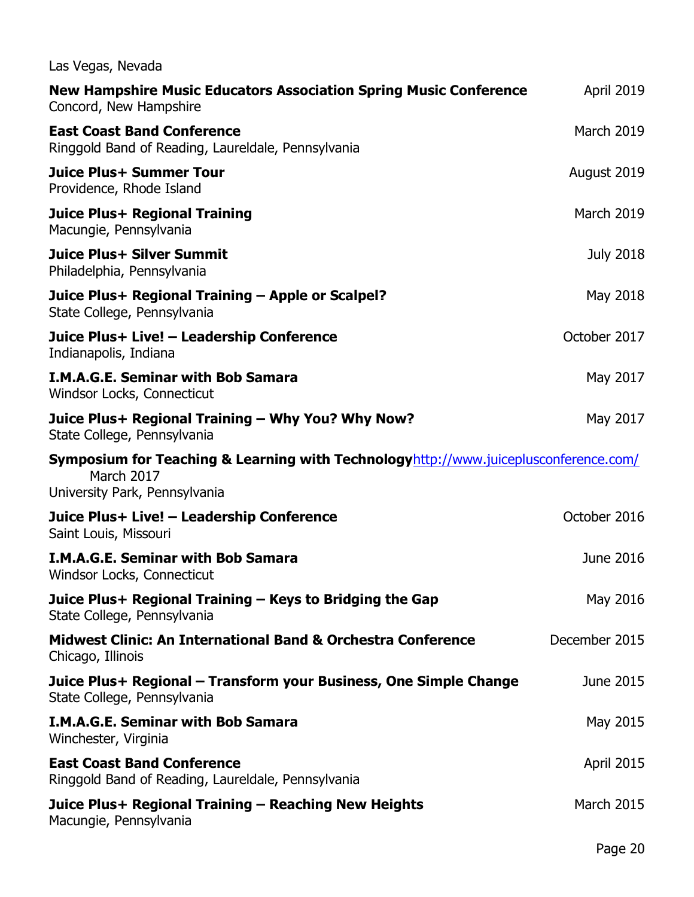| Las Vegas, Nevada                                                                                                                   |                   |
|-------------------------------------------------------------------------------------------------------------------------------------|-------------------|
| <b>New Hampshire Music Educators Association Spring Music Conference</b><br>Concord, New Hampshire                                  | <b>April 2019</b> |
| <b>East Coast Band Conference</b><br>Ringgold Band of Reading, Laureldale, Pennsylvania                                             | <b>March 2019</b> |
| Juice Plus+ Summer Tour<br>Providence, Rhode Island                                                                                 | August 2019       |
| Juice Plus+ Regional Training<br>Macungie, Pennsylvania                                                                             | <b>March 2019</b> |
| <b>Juice Plus+ Silver Summit</b><br>Philadelphia, Pennsylvania                                                                      | <b>July 2018</b>  |
| Juice Plus+ Regional Training - Apple or Scalpel?<br>State College, Pennsylvania                                                    | May 2018          |
| Juice Plus+ Live! - Leadership Conference<br>Indianapolis, Indiana                                                                  | October 2017      |
| <b>I.M.A.G.E. Seminar with Bob Samara</b><br>Windsor Locks, Connecticut                                                             | May 2017          |
| Juice Plus+ Regional Training - Why You? Why Now?<br>State College, Pennsylvania                                                    | May 2017          |
| Symposium for Teaching & Learning with Technologyhttp://www.juiceplusconference.com/<br>March 2017<br>University Park, Pennsylvania |                   |
| Juice Plus+ Live! - Leadership Conference<br>Saint Louis, Missouri                                                                  | October 2016      |
| <b>I.M.A.G.E. Seminar with Bob Samara</b><br>Windsor Locks, Connecticut                                                             | June 2016         |
| Juice Plus+ Regional Training – Keys to Bridging the Gap<br>State College, Pennsylvania                                             | May 2016          |
| <b>Midwest Clinic: An International Band &amp; Orchestra Conference</b><br>Chicago, Illinois                                        | December 2015     |
| Juice Plus+ Regional – Transform your Business, One Simple Change<br>State College, Pennsylvania                                    | June 2015         |
| <b>I.M.A.G.E. Seminar with Bob Samara</b><br>Winchester, Virginia                                                                   | May 2015          |
| <b>East Coast Band Conference</b><br>Ringgold Band of Reading, Laureldale, Pennsylvania                                             | April 2015        |
| Juice Plus+ Regional Training – Reaching New Heights<br>Macungie, Pennsylvania                                                      | <b>March 2015</b> |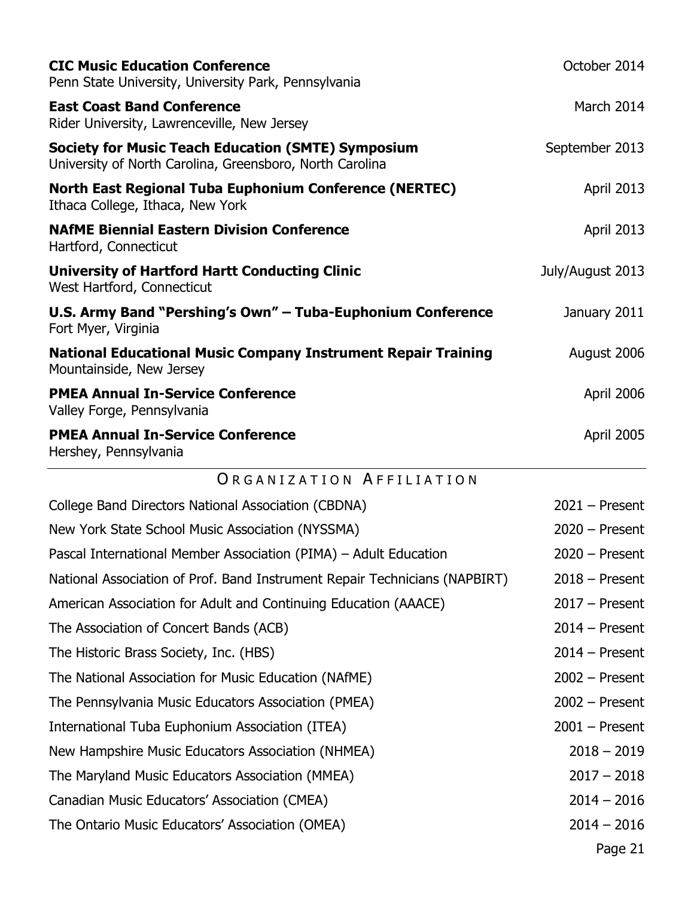<span id="page-20-0"></span>

| <b>CIC Music Education Conference</b><br>Penn State University, University Park, Pennsylvania                         | October 2014      |
|-----------------------------------------------------------------------------------------------------------------------|-------------------|
| <b>East Coast Band Conference</b><br>Rider University, Lawrenceville, New Jersey                                      | March 2014        |
| <b>Society for Music Teach Education (SMTE) Symposium</b><br>University of North Carolina, Greensboro, North Carolina | September 2013    |
| <b>North East Regional Tuba Euphonium Conference (NERTEC)</b><br>Ithaca College, Ithaca, New York                     | <b>April 2013</b> |
| <b>NAfME Biennial Eastern Division Conference</b><br>Hartford, Connecticut                                            | <b>April 2013</b> |
| <b>University of Hartford Hartt Conducting Clinic</b><br>West Hartford, Connecticut                                   | July/August 2013  |
| U.S. Army Band "Pershing's Own" - Tuba-Euphonium Conference<br>Fort Myer, Virginia                                    | January 2011      |
| <b>National Educational Music Company Instrument Repair Training</b><br>Mountainside, New Jersey                      | August 2006       |
| <b>PMEA Annual In-Service Conference</b><br>Valley Forge, Pennsylvania                                                | April 2006        |
| <b>PMEA Annual In-Service Conference</b><br>Hershey, Pennsylvania                                                     | <b>April 2005</b> |
| ORGANIZATION AFFILIATION                                                                                              |                   |
| College Band Directors National Association (CBDNA)                                                                   | $2021 -$ Present  |
| New York State School Music Association (NYSSMA)                                                                      | $2020 -$ Present  |
| Pascal International Member Association (PIMA) - Adult Education                                                      | $2020 -$ Present  |
| National Association of Prof. Band Instrument Repair Technicians (NAPBIRT)                                            | $2018 -$ Present  |
| American Association for Adult and Continuing Education (AAACE)                                                       | $2017 -$ Present  |
| The Association of Concert Bands (ACB)                                                                                | $2014$ – Present  |
| The Historic Brass Society, Inc. (HBS)                                                                                | $2014 -$ Present  |
| The National Association for Music Education (NAfME)                                                                  | $2002 -$ Present  |
| The Pennsylvania Music Educators Association (PMEA)                                                                   | $2002 -$ Present  |
| International Tuba Euphonium Association (ITEA)                                                                       | $2001$ – Present  |
| New Hampshire Music Educators Association (NHMEA)                                                                     | $2018 - 2019$     |
| The Maryland Music Educators Association (MMEA)                                                                       | $2017 - 2018$     |
| Canadian Music Educators' Association (CMEA)                                                                          | $2014 - 2016$     |
| The Ontario Music Educators' Association (OMEA)                                                                       | $2014 - 2016$     |
|                                                                                                                       | Page 21           |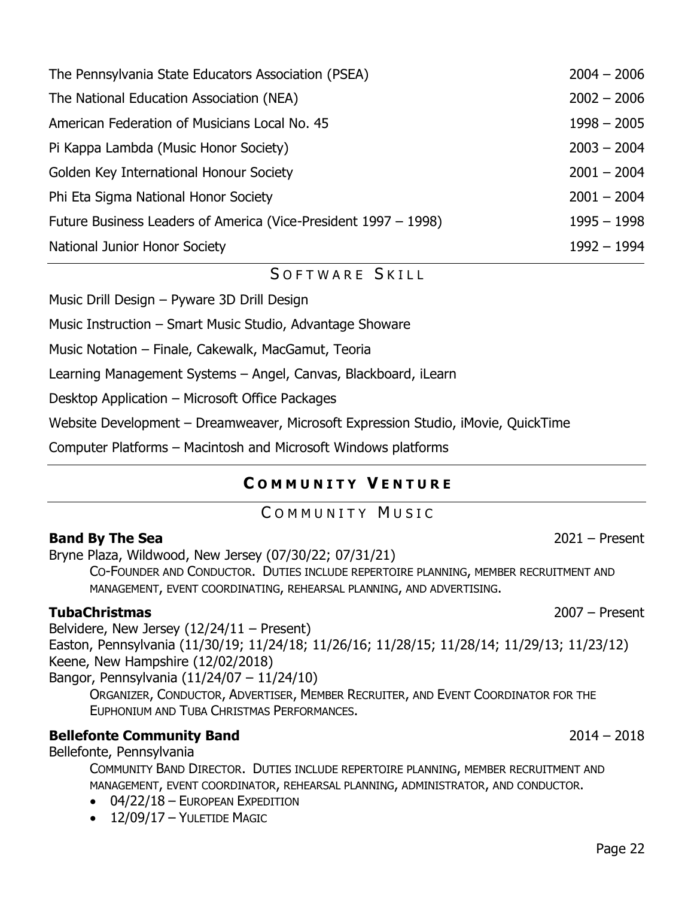| Pi Kappa Lambda (Music Honor Society)                           | $2003 - 2004$ |
|-----------------------------------------------------------------|---------------|
| Golden Key International Honour Society                         | $2001 - 2004$ |
| Phi Eta Sigma National Honor Society                            | $2001 - 2004$ |
| Future Business Leaders of America (Vice-President 1997 – 1998) | $1995 - 1998$ |
| National Junior Honor Society                                   | $1992 - 1994$ |
| SOFTWARE SKILL                                                  |               |
| Music Drill Design - Pyware 3D Drill Design                     |               |
| Music Instruction – Smart Music Studio, Advantage Showare       |               |
| Music Notation - Finale, Cakewalk, MacGamut, Teoria             |               |
| Learning Management Systems - Angel, Canvas, Blackboard, iLearn |               |

[The Pennsylvania State Educators Association \(PSEA\)](http://www.psea.org/) 2004 – 2006

[The National Education Association \(NEA\)](http://www.nea.org/) 2002 – 2006

[American Federation of Musicians Local No. 45](http://www.afml45.org/) 1998 – 2005

<span id="page-21-0"></span>Desktop Application – Microsoft Office Packages

Website Development – Dreamweaver, Microsoft Expression Studio, iMovie, QuickTime

<span id="page-21-1"></span>Computer Platforms – Macintosh and Microsoft Windows platforms

### **C O M M U N I T Y V E N T U R E**

### COMMUNITY MUSIC

#### <span id="page-21-2"></span>**[Band By The Sea](http://www.artmusicemporium.com/)** 2021 – Present

[Bryne Plaza,](https://wildwoodsnj.com/attraction/byrne-plaza/) Wildwood, New Jersey (07/30/22; 07/31/21)

CO-FOUNDER AND CONDUCTOR. DUTIES INCLUDE REPERTOIRE PLANNING, MEMBER RECRUITMENT AND MANAGEMENT, EVENT COORDINATING, REHEARSAL PLANNING, AND ADVERTISING.

### **[TubaChristmas](http://www.tubachristmas.com/)** 2007 – Present

Belvidere, New Jersey (12/24/11 – Present)

Easton, Pennsylvania (11/30/19; 11/24/18; 11/26/16; 11/28/15; 11/28/14; 11/29/13; 11/23/12) Keene, New Hampshire (12/02/2018)

Bangor, Pennsylvania (11/24/07 – 11/24/10)

ORGANIZER, CONDUCTOR, ADVERTISER, MEMBER RECRUITER, AND EVENT COORDINATOR FOR THE EUPHONIUM AND TUBA CHRISTMAS PERFORMANCES.

### **[Bellefonte Community Band](http://bellefonteband.net/)** 2014 – 2018

Bellefonte, Pennsylvania

COMMUNITY BAND DIRECTOR. DUTIES INCLUDE REPERTOIRE PLANNING, MEMBER RECRUITMENT AND MANAGEMENT, EVENT COORDINATOR, REHEARSAL PLANNING, ADMINISTRATOR, AND CONDUCTOR.

- 04/22/18 EUROPEAN EXPEDITION
- 12/09/17 YULETIDE MAGIC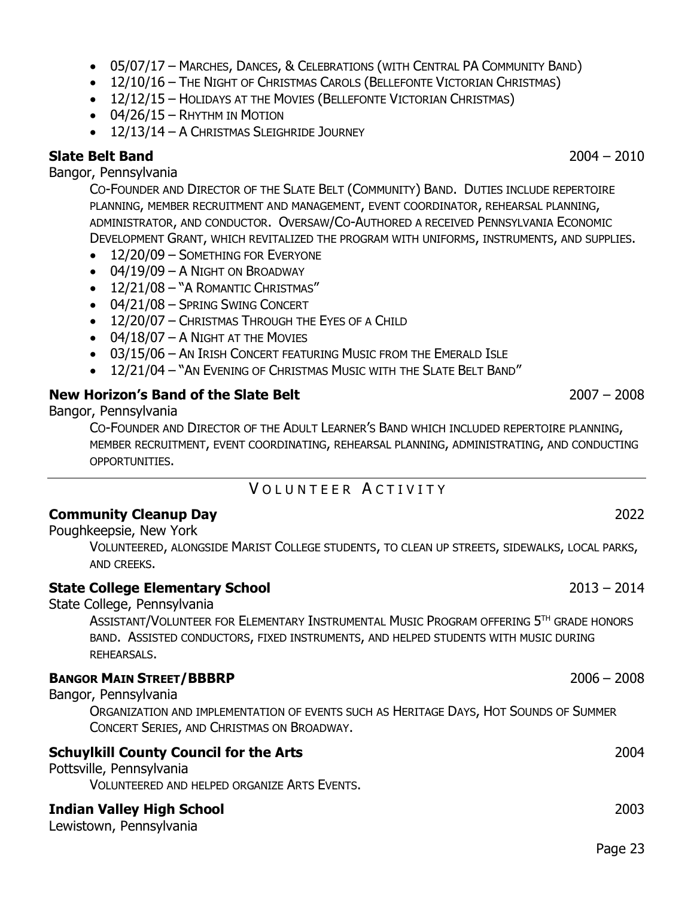### • 05/07/17 – MARCHES, DANCES, & CELEBRATIONS (WITH CENTRAL PA COMMUNITY BAND)

- 12/10/16 The NIGHT OF CHRISTMAS CAROLS (B[ELLEFONTE](http://www.bellefontevictorianchristmas.com/) VICTORIAN CHRISTMAS)
- 12/12/15 HOLIDAYS AT THE MOVIES (B[ELLEFONTE](http://www.bellefontevictorianchristmas.com/) VICTORIAN CHRISTMAS)
- 04/26/15 RHYTHM IN MOTION
- 12/13/14 A CHRISTMAS SLEIGHRIDE JOURNEY

### **Slate Belt Band** 2004 – 2010

Bangor, Pennsylvania

CO-FOUNDER AND DIRECTOR OF THE SLATE BELT (COMMUNITY) BAND. DUTIES INCLUDE REPERTOIRE PLANNING, MEMBER RECRUITMENT AND MANAGEMENT, EVENT COORDINATOR, REHEARSAL PLANNING, ADMINISTRATOR, AND CONDUCTOR. OVERSAW/CO-AUTHORED A RECEIVED PENNSYLVANIA ECONOMIC DEVELOPMENT GRANT, WHICH REVITALIZED THE PROGRAM WITH UNIFORMS, INSTRUMENTS, AND SUPPLIES.

- 12/20/09 SOMETHING FOR EVERYONE
- 04/19/09 A NIGHT ON BROADWAY
- 12/21/08 "A ROMANTIC CHRISTMAS"
- 04/21/08 SPRING SWING CONCERT
- 12/20/07 CHRISTMAS THROUGH THE EYES OF A CHILD
- 04/18/07 A NIGHT AT THE MOVIES
- 03/15/06 AN IRISH CONCERT FEATURING MUSIC FROM THE EMERALD ISLE
- 12/21/04 "AN EVENING OF CHRISTMAS MUSIC WITH THE SLATE BELT BAND"

### **[New Horizon's Band of the Slate Belt](http://www.artmusicemporium.com/)** 2007 – 2008

Bangor, Pennsylvania

CO-FOUNDER AND DIRECTOR OF THE ADULT LEARNER'S BAND WHICH INCLUDED REPERTOIRE PLANNING, MEMBER RECRUITMENT, EVENT COORDINATING, REHEARSAL PLANNING, ADMINISTRATING, AND CONDUCTING OPPORTUNITIES.

# VOLUNTEER ACTIVITY

### <span id="page-22-0"></span>**Community Cleanup Day** 2022

Poughkeepsie, New York

VOLUNTEERED, ALONGSIDE MARIST COLLEGE STUDENTS, TO CLEAN UP STREETS, SIDEWALKS, LOCAL PARKS, AND CREEKS.

### **[State College Elementary School](http://www.scasd.org/)** 2013 – 2014

State College, Pennsylvania

ASSISTANT/VOLUNTEER FOR ELEMENTARY INSTRUMENTAL MUSIC PROGRAM OFFERING 5TH GRADE HONORS BAND. ASSISTED CONDUCTORS, FIXED INSTRUMENTS, AND HELPED STUDENTS WITH MUSIC DURING REHEARSALS.

### **BANGOR MAIN STREET/BBBRP** 2006 – 2008

Bangor, Pennsylvania

ORGANIZATION AND IMPLEMENTATION OF EVENTS SUCH AS HERITAGE DAYS, HOT SOUNDS OF SUMMER CONCERT SERIES, AND CHRISTMAS ON BROADWAY.

### **Schuylkill County Council for the Arts** 2004

Pottsville, Pennsylvania

VOLUNTEERED AND HELPED ORGANIZE ARTS EVENTS.

### **[Indian Valley High School](http://www.mcsdk12.org/ivhs)** 2003

Lewistown, Pennsylvania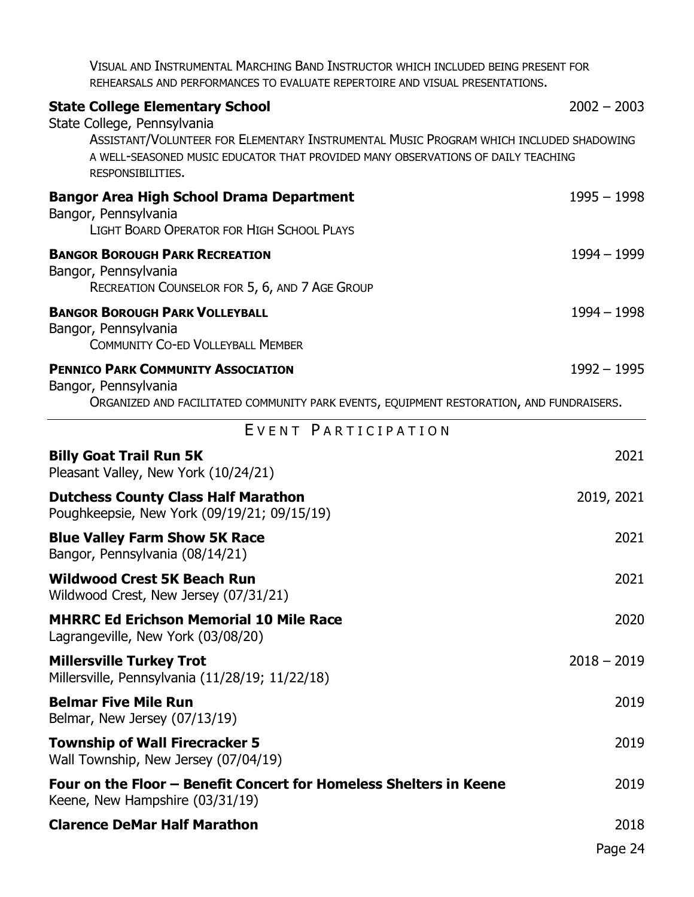VISUAL AND INSTRUMENTAL MARCHING BAND INSTRUCTOR WHICH INCLUDED BEING PRESENT FOR REHEARSALS AND PERFORMANCES TO EVALUATE REPERTOIRE AND VISUAL PRESENTATIONS.

<span id="page-23-0"></span>

| <b>State College Elementary School</b><br>State College, Pennsylvania                                                                                                                           | $2002 - 2003$ |
|-------------------------------------------------------------------------------------------------------------------------------------------------------------------------------------------------|---------------|
| ASSISTANT/VOLUNTEER FOR ELEMENTARY INSTRUMENTAL MUSIC PROGRAM WHICH INCLUDED SHADOWING<br>A WELL-SEASONED MUSIC EDUCATOR THAT PROVIDED MANY OBSERVATIONS OF DAILY TEACHING<br>RESPONSIBILITIES. |               |
| <b>Bangor Area High School Drama Department</b><br>Bangor, Pennsylvania<br><b>LIGHT BOARD OPERATOR FOR HIGH SCHOOL PLAYS</b>                                                                    | $1995 - 1998$ |
| <b>BANGOR BOROUGH PARK RECREATION</b><br>Bangor, Pennsylvania<br>RECREATION COUNSELOR FOR 5, 6, AND 7 AGE GROUP                                                                                 | 1994 – 1999   |
| <b>BANGOR BOROUGH PARK VOLLEYBALL</b><br>Bangor, Pennsylvania<br><b>COMMUNITY CO-ED VOLLEYBALL MEMBER</b>                                                                                       | $1994 - 1998$ |
| <b>PENNICO PARK COMMUNITY ASSOCIATION</b><br>Bangor, Pennsylvania<br>ORGANIZED AND FACILITATED COMMUNITY PARK EVENTS, EQUIPMENT RESTORATION, AND FUNDRAISERS.                                   | $1992 - 1995$ |
| EVENT PARTICIPATION                                                                                                                                                                             |               |
| <b>Billy Goat Trail Run 5K</b><br>Pleasant Valley, New York (10/24/21)                                                                                                                          | 2021          |
| <b>Dutchess County Class Half Marathon</b><br>Poughkeepsie, New York (09/19/21; 09/15/19)                                                                                                       | 2019, 2021    |
| <b>Blue Valley Farm Show 5K Race</b><br>Bangor, Pennsylvania (08/14/21)                                                                                                                         | 2021          |
| <b>Wildwood Crest 5K Beach Run</b><br>Wildwood Crest, New Jersey (07/31/21)                                                                                                                     | 2021          |
| <b>MHRRC Ed Erichson Memorial 10 Mile Race</b><br>Lagrangeville, New York (03/08/20)                                                                                                            | 2020          |
| <b>Millersville Turkey Trot</b><br>Millersville, Pennsylvania (11/28/19; 11/22/18)                                                                                                              | $2018 - 2019$ |
| <b>Belmar Five Mile Run</b><br>Belmar, New Jersey (07/13/19)                                                                                                                                    | 2019          |
| <b>Township of Wall Firecracker 5</b><br>Wall Township, New Jersey (07/04/19)                                                                                                                   | 2019          |
| Four on the Floor – Benefit Concert for Homeless Shelters in Keene<br>Keene, New Hampshire (03/31/19)                                                                                           | 2019          |
| <b>Clarence DeMar Half Marathon</b>                                                                                                                                                             | 2018          |

Page 24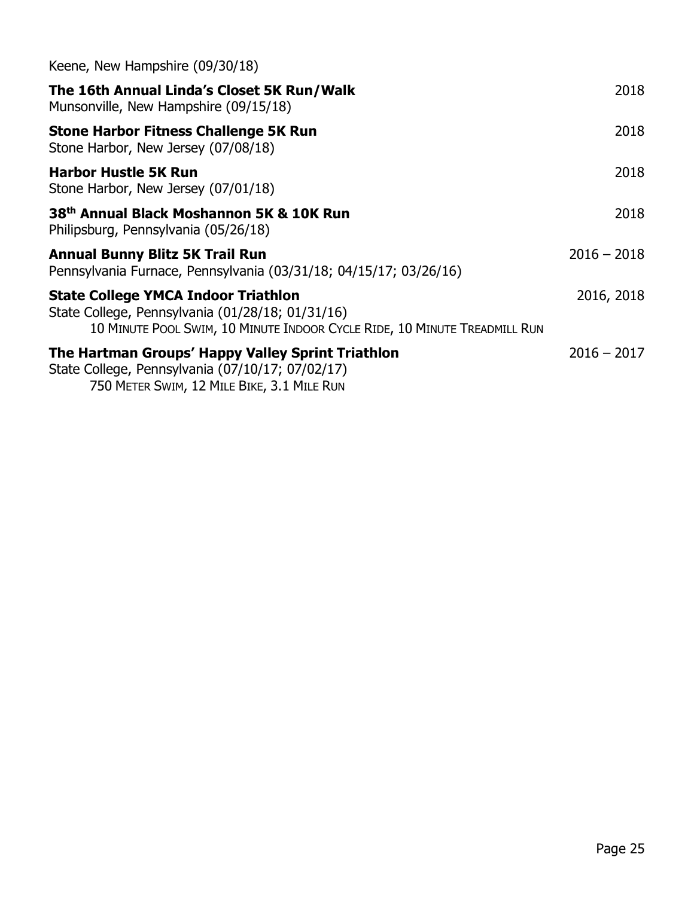| Keene, New Hampshire (09/30/18)                                                                                                                                             |               |
|-----------------------------------------------------------------------------------------------------------------------------------------------------------------------------|---------------|
| The 16th Annual Linda's Closet 5K Run/Walk<br>Munsonville, New Hampshire (09/15/18)                                                                                         | 2018          |
| <b>Stone Harbor Fitness Challenge 5K Run</b><br>Stone Harbor, New Jersey (07/08/18)                                                                                         | 2018          |
| <b>Harbor Hustle 5K Run</b><br>Stone Harbor, New Jersey (07/01/18)                                                                                                          | 2018          |
| 38th Annual Black Moshannon 5K & 10K Run<br>Philipsburg, Pennsylvania (05/26/18)                                                                                            | 2018          |
| <b>Annual Bunny Blitz 5K Trail Run</b><br>Pennsylvania Furnace, Pennsylvania (03/31/18; 04/15/17; 03/26/16)                                                                 | $2016 - 2018$ |
| <b>State College YMCA Indoor Triathlon</b><br>State College, Pennsylvania (01/28/18; 01/31/16)<br>10 MINUTE POOL SWIM, 10 MINUTE INDOOR CYCLE RIDE, 10 MINUTE TREADMILL RUN | 2016, 2018    |
| The Hartman Groups' Happy Valley Sprint Triathlon<br>State College, Pennsylvania (07/10/17; 07/02/17)<br>750 METER SWIM, 12 MILE BIKE, 3.1 MILE RUN                         | $2016 - 2017$ |